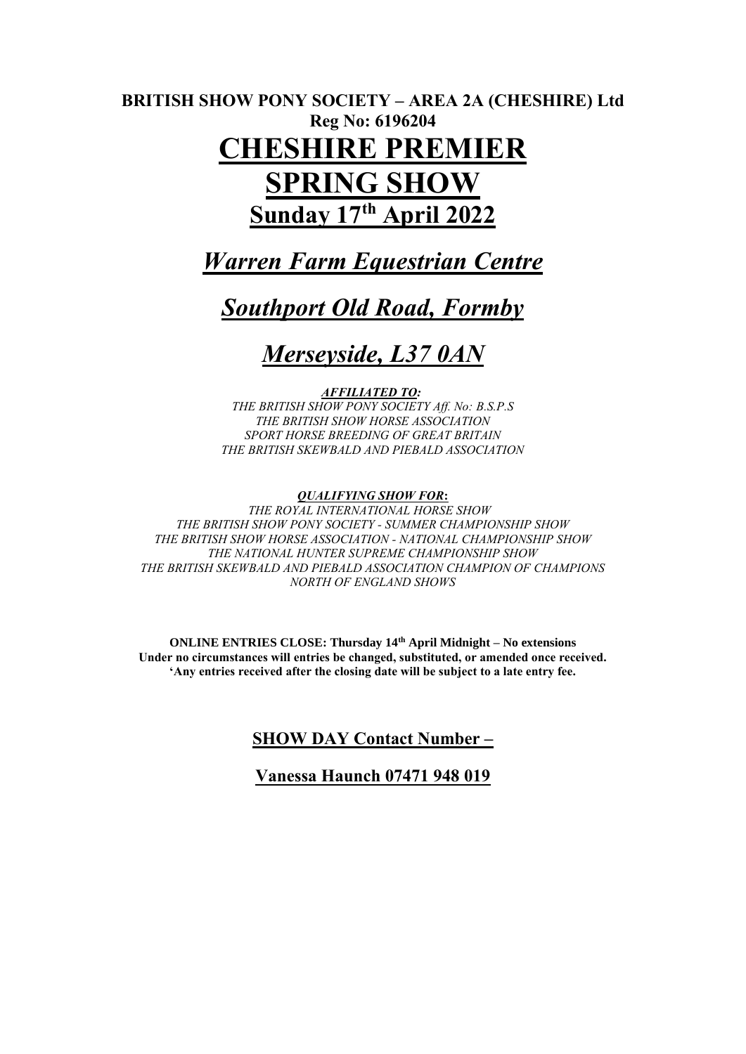# **BRITISH SHOW PONY SOCIETY – AREA 2A (CHESHIRE) Ltd Reg No: 6196204 CHESHIRE PREMIER SPRING SHOW Sunday 17th April 2022**

# *Warren Farm Equestrian Centre*

# *Southport Old Road, Formby*

# *Merseyside, L37 0AN*

# *AFFILIATED TO:*

*THE BRITISH SHOW PONY SOCIETY Aff. No: B.S.P.S THE BRITISH SHOW HORSE ASSOCIATION SPORT HORSE BREEDING OF GREAT BRITAIN THE BRITISH SKEWBALD AND PIEBALD ASSOCIATION*

### *QUALIFYING SHOW FOR***:**

*THE ROYAL INTERNATIONAL HORSE SHOW THE BRITISH SHOW PONY SOCIETY - SUMMER CHAMPIONSHIP SHOW THE BRITISH SHOW HORSE ASSOCIATION - NATIONAL CHAMPIONSHIP SHOW THE NATIONAL HUNTER SUPREME CHAMPIONSHIP SHOW THE BRITISH SKEWBALD AND PIEBALD ASSOCIATION CHAMPION OF CHAMPIONS NORTH OF ENGLAND SHOWS*

**ONLINE ENTRIES CLOSE: Thursday 14th April Midnight – No extensions Under no circumstances will entries be changed, substituted, or amended once received. 'Any entries received after the closing date will be subject to a late entry fee.**

# **SHOW DAY Contact Number –**

# **Vanessa Haunch 07471 948 019**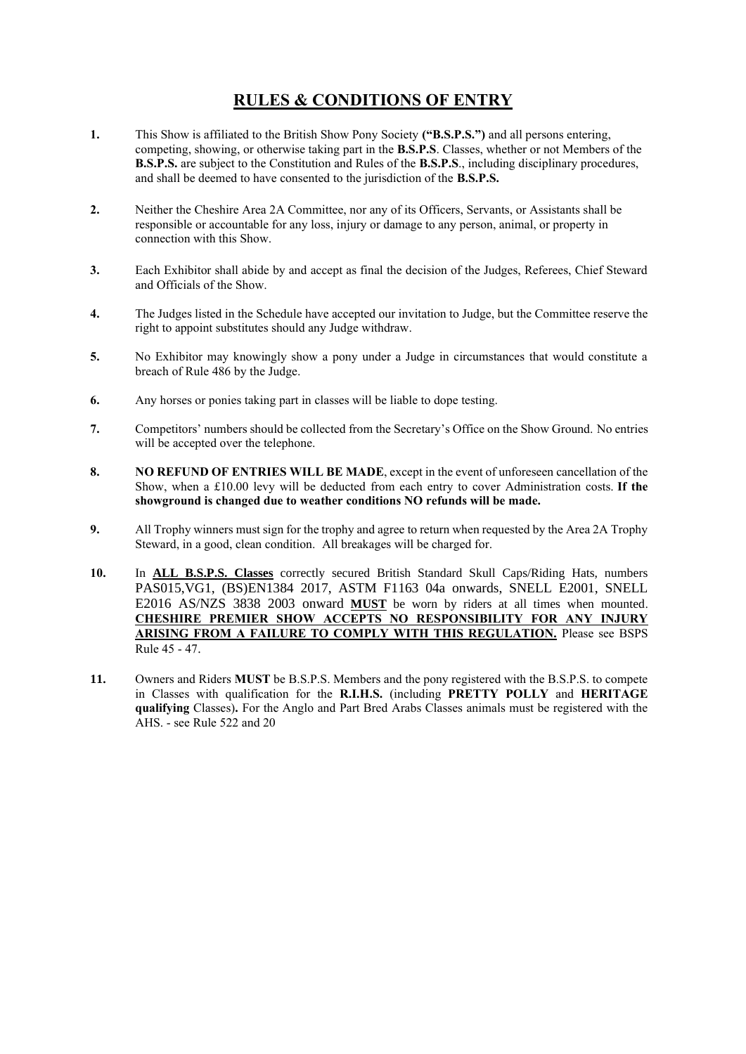# **RULES & CONDITIONS OF ENTRY**

- **1.** This Show is affiliated to the British Show Pony Society **("B.S.P.S.")** and all persons entering, competing, showing, or otherwise taking part in the **B.S.P.S**. Classes, whether or not Members of the **B.S.P.S.** are subject to the Constitution and Rules of the **B.S.P.S**., including disciplinary procedures, and shall be deemed to have consented to the jurisdiction of the **B.S.P.S.**
- **2.** Neither the Cheshire Area 2A Committee, nor any of its Officers, Servants, or Assistants shall be responsible or accountable for any loss, injury or damage to any person, animal, or property in connection with this Show.
- **3.** Each Exhibitor shall abide by and accept as final the decision of the Judges, Referees, Chief Steward and Officials of the Show.
- **4.** The Judges listed in the Schedule have accepted our invitation to Judge, but the Committee reserve the right to appoint substitutes should any Judge withdraw.
- **5.** No Exhibitor may knowingly show a pony under a Judge in circumstances that would constitute a breach of Rule 486 by the Judge.
- **6.** Any horses or ponies taking part in classes will be liable to dope testing.
- **7.** Competitors' numbers should be collected from the Secretary's Office on the Show Ground. No entries will be accepted over the telephone.
- **8. NO REFUND OF ENTRIES WILL BE MADE**, except in the event of unforeseen cancellation of the Show, when a £10.00 levy will be deducted from each entry to cover Administration costs. **If the showground is changed due to weather conditions NO refunds will be made.**
- **9.** All Trophy winners must sign for the trophy and agree to return when requested by the Area 2A Trophy Steward, in a good, clean condition. All breakages will be charged for.
- **10.** In **ALL B.S.P.S. Classes** correctly secured British Standard Skull Caps/Riding Hats, numbers PAS015,VG1, (BS)EN1384 2017, ASTM F1163 04a onwards, SNELL E2001, SNELL E2016 AS/NZS 3838 2003 onward **MUST** be worn by riders at all times when mounted. **CHESHIRE PREMIER SHOW ACCEPTS NO RESPONSIBILITY FOR ANY INJURY ARISING FROM A FAILURE TO COMPLY WITH THIS REGULATION.** Please see BSPS Rule 45 - 47.
- **11.** Owners and Riders **MUST** be B.S.P.S. Members and the pony registered with the B.S.P.S. to compete in Classes with qualification for the **R.I.H.S.** (including **PRETTY POLLY** and **HERITAGE qualifying** Classes)**.** For the Anglo and Part Bred Arabs Classes animals must be registered with the AHS. - see Rule 522 and 20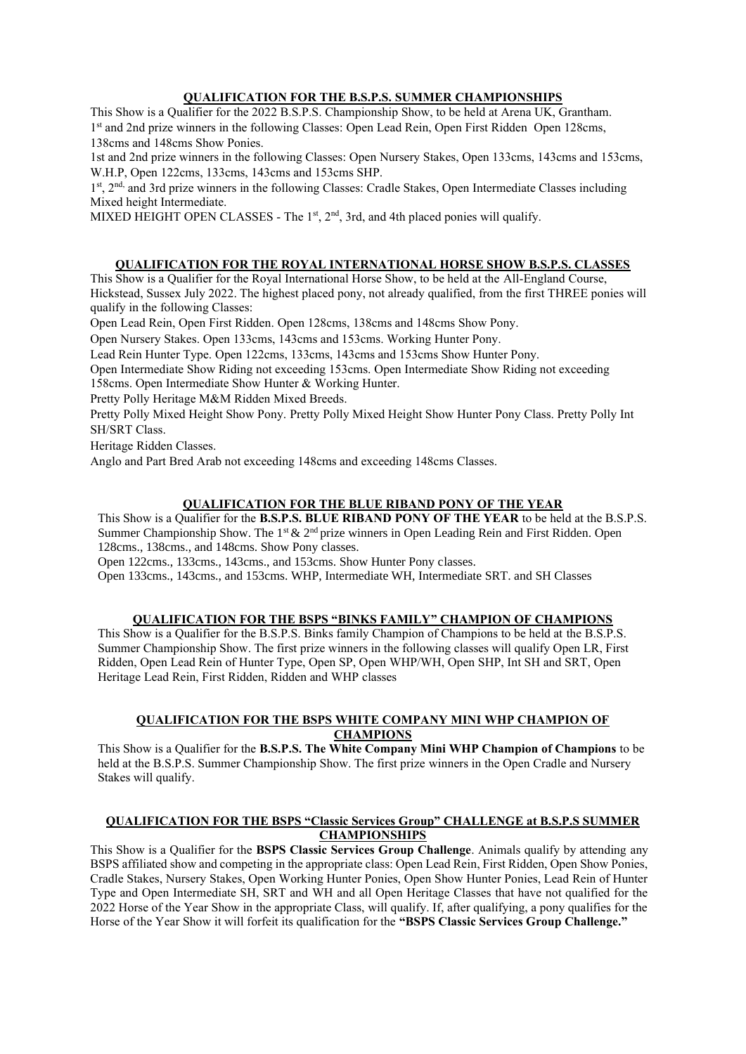#### **QUALIFICATION FOR THE B.S.P.S. SUMMER CHAMPIONSHIPS**

This Show is a Qualifier for the 2022 B.S.P.S. Championship Show, to be held at Arena UK, Grantham. 1<sup>st</sup> and 2nd prize winners in the following Classes: Open Lead Rein, Open First Ridden Open 128cms, 138cms and 148cms Show Ponies.

1st and 2nd prize winners in the following Classes: Open Nursery Stakes, Open 133cms, 143cms and 153cms, W.H.P, Open 122cms, 133cms, 143cms and 153cms SHP.

1st, 2<sup>nd,</sup> and 3rd prize winners in the following Classes: Cradle Stakes, Open Intermediate Classes including Mixed height Intermediate.

MIXED HEIGHT OPEN CLASSES - The  $1<sup>st</sup>$ ,  $2<sup>nd</sup>$ ,  $3rd$ , and 4th placed ponies will qualify.

# **QUALIFICATION FOR THE ROYAL INTERNATIONAL HORSE SHOW B.S.P.S. CLASSES**

This Show is a Qualifier for the Royal International Horse Show, to be held at the All-England Course, Hickstead, Sussex July 2022. The highest placed pony, not already qualified, from the first THREE ponies will qualify in the following Classes:

Open Lead Rein, Open First Ridden. Open 128cms, 138cms and 148cms Show Pony.

Open Nursery Stakes. Open 133cms, 143cms and 153cms. Working Hunter Pony.

Lead Rein Hunter Type. Open 122cms, 133cms, 143cms and 153cms Show Hunter Pony.

Open Intermediate Show Riding not exceeding 153cms. Open Intermediate Show Riding not exceeding 158cms. Open Intermediate Show Hunter & Working Hunter.

Pretty Polly Heritage M&M Ridden Mixed Breeds.

Pretty Polly Mixed Height Show Pony. Pretty Polly Mixed Height Show Hunter Pony Class. Pretty Polly Int SH/SRT Class.

Heritage Ridden Classes.

Anglo and Part Bred Arab not exceeding 148cms and exceeding 148cms Classes.

### **QUALIFICATION FOR THE BLUE RIBAND PONY OF THE YEAR**

This Show is a Qualifier for the **B.S.P.S. BLUE RIBAND PONY OF THE YEAR** to be held at the B.S.P.S. Summer Championship Show. The 1<sup>st</sup> & 2<sup>nd</sup> prize winners in Open Leading Rein and First Ridden. Open 128cms., 138cms., and 148cms. Show Pony classes.

Open 122cms., 133cms., 143cms., and 153cms. Show Hunter Pony classes.

Open 133cms., 143cms., and 153cms. WHP, Intermediate WH, Intermediate SRT. and SH Classes

#### **QUALIFICATION FOR THE BSPS "BINKS FAMILY" CHAMPION OF CHAMPIONS**

This Show is a Qualifier for the B.S.P.S. Binks family Champion of Champions to be held at the B.S.P.S. Summer Championship Show. The first prize winners in the following classes will qualify Open LR, First Ridden, Open Lead Rein of Hunter Type, Open SP, Open WHP/WH, Open SHP, Int SH and SRT, Open Heritage Lead Rein, First Ridden, Ridden and WHP classes

#### **QUALIFICATION FOR THE BSPS WHITE COMPANY MINI WHP CHAMPION OF CHAMPIONS**

This Show is a Qualifier for the **B.S.P.S. The White Company Mini WHP Champion of Champions** to be held at the B.S.P.S. Summer Championship Show. The first prize winners in the Open Cradle and Nursery Stakes will qualify.

#### **QUALIFICATION FOR THE BSPS "Classic Services Group" CHALLENGE at B.S.P.S SUMMER CHAMPIONSHIPS**

This Show is a Qualifier for the **BSPS Classic Services Group Challenge**. Animals qualify by attending any BSPS affiliated show and competing in the appropriate class: Open Lead Rein, First Ridden, Open Show Ponies, Cradle Stakes, Nursery Stakes, Open Working Hunter Ponies, Open Show Hunter Ponies, Lead Rein of Hunter Type and Open Intermediate SH, SRT and WH and all Open Heritage Classes that have not qualified for the 2022 Horse of the Year Show in the appropriate Class, will qualify. If, after qualifying, a pony qualifies for the Horse of the Year Show it will forfeit its qualification for the **"BSPS Classic Services Group Challenge."**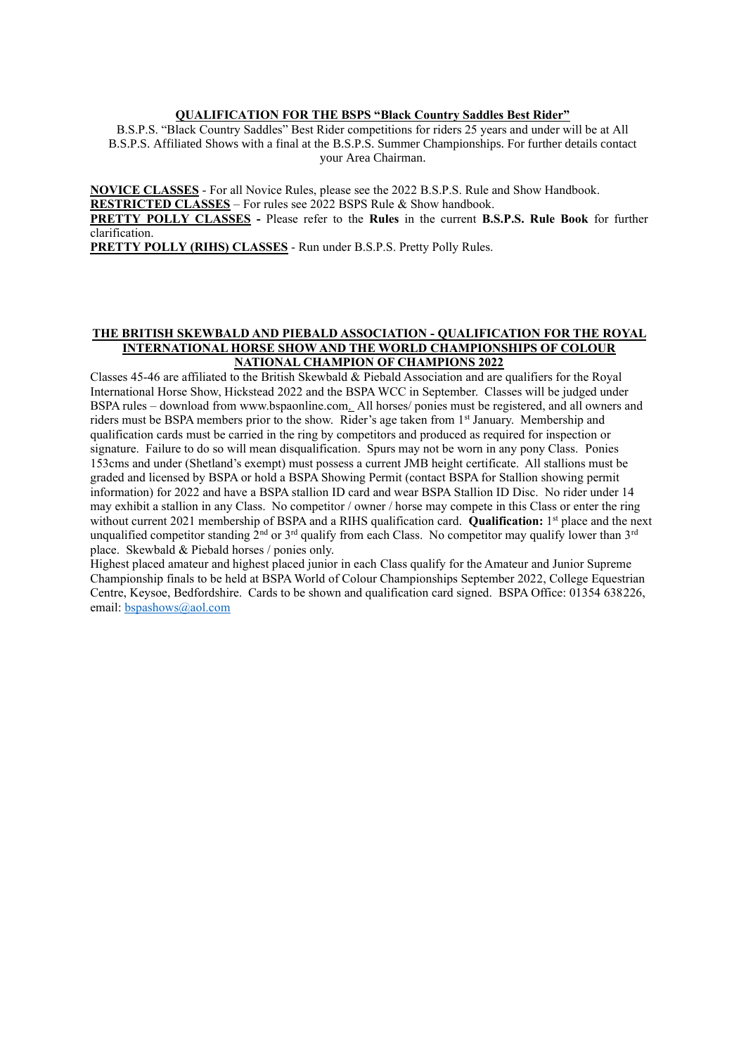#### **QUALIFICATION FOR THE BSPS "Black Country Saddles Best Rider"**

B.S.P.S. "Black Country Saddles" Best Rider competitions for riders 25 years and under will be at All B.S.P.S. Affiliated Shows with a final at the B.S.P.S. Summer Championships. For further details contact your Area Chairman.

**NOVICE CLASSES** - For all Novice Rules, please see the 2022 B.S.P.S. Rule and Show Handbook. **RESTRICTED CLASSES** – For rules see 2022 BSPS Rule & Show handbook.

**PRETTY POLLY CLASSES -** Please refer to the **Rules** in the current **B.S.P.S. Rule Book** for further clarification.

**PRETTY POLLY (RIHS) CLASSES** - Run under B.S.P.S. Pretty Polly Rules.

#### **THE BRITISH SKEWBALD AND PIEBALD ASSOCIATION - QUALIFICATION FOR THE ROYAL INTERNATIONAL HORSE SHOW AND THE WORLD CHAMPIONSHIPS OF COLOUR NATIONAL CHAMPION OF CHAMPIONS 2022**

Classes 45-46 are affiliated to the British Skewbald & Piebald Association and are qualifiers for the Royal International Horse Show, Hickstead 2022 and the BSPA WCC in September. Classes will be judged under BSPA rules – download from [www.bspaonline.com.](http://www.bspaonline.com/) All horses/ ponies must be registered, and all owners and riders must be BSPA members prior to the show. Rider's age taken from 1st January. Membership and qualification cards must be carried in the ring by competitors and produced as required for inspection or signature. Failure to do so will mean disqualification. Spurs may not be worn in any pony Class. Ponies 153cms and under (Shetland's exempt) must possess a current JMB height certificate. All stallions must be graded and licensed by BSPA or hold a BSPA Showing Permit (contact BSPA for Stallion showing permit information) for 2022 and have a BSPA stallion ID card and wear BSPA Stallion ID Disc. No rider under 14 may exhibit a stallion in any Class. No competitor / owner / horse may compete in this Class or enter the ring without current 2021 membership of BSPA and a RIHS qualification card. **Qualification:** 1 st place and the next unqualified competitor standing  $2^{nd}$  or  $3^{rd}$  qualify from each Class. No competitor may qualify lower than  $3^{rd}$ place. Skewbald & Piebald horses / ponies only.

Highest placed amateur and highest placed junior in each Class qualify for the Amateur and Junior Supreme Championship finals to be held at BSPA World of Colour Championships September 2022, College Equestrian Centre, Keysoe, Bedfordshire. Cards to be shown and qualification card signed. BSPA Office: 01354 638226, email: [bspashows@aol.com](mailto:bspashows@aol.com)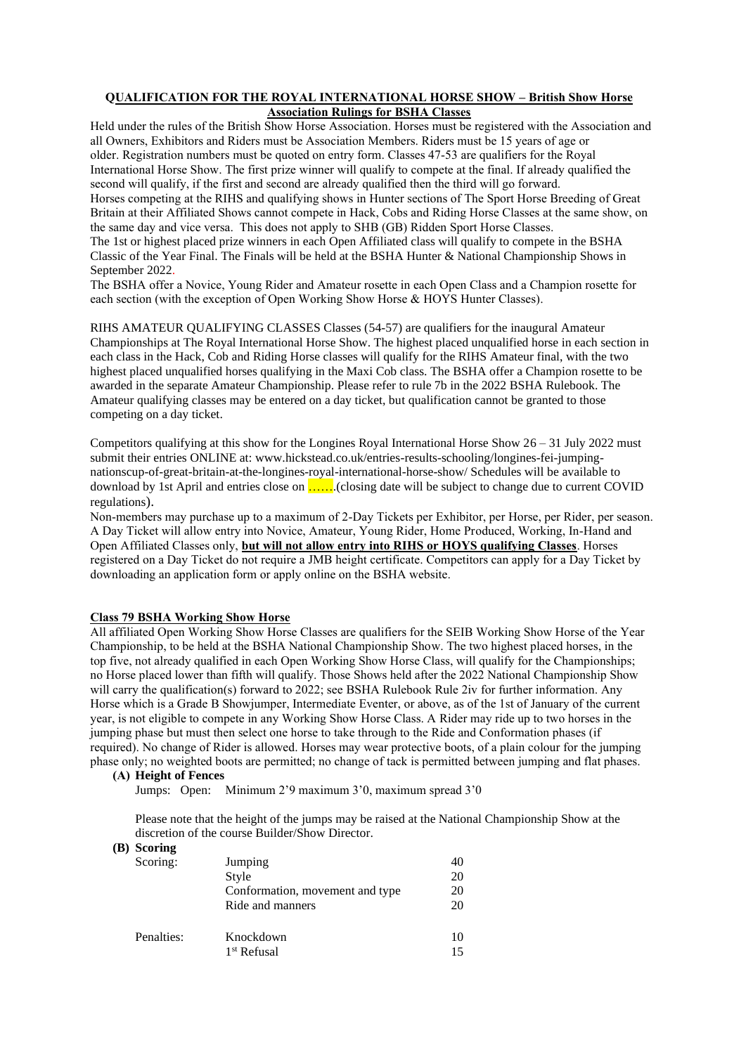#### **QUALIFICATION FOR THE ROYAL INTERNATIONAL HORSE SHOW – British Show Horse Association Rulings for BSHA Classes**

Held under the rules of the British Show Horse Association. Horses must be registered with the Association and all Owners, Exhibitors and Riders must be Association Members. Riders must be 15 years of age or older. Registration numbers must be quoted on entry form. Classes 47-53 are qualifiers for the Royal International Horse Show. The first prize winner will qualify to compete at the final. If already qualified the second will qualify, if the first and second are already qualified then the third will go forward. Horses competing at the RIHS and qualifying shows in Hunter sections of The Sport Horse Breeding of Great Britain at their Affiliated Shows cannot compete in Hack, Cobs and Riding Horse Classes at the same show, on the same day and vice versa. This does not apply to SHB (GB) Ridden Sport Horse Classes. The 1st or highest placed prize winners in each Open Affiliated class will qualify to compete in the BSHA Classic of the Year Final. The Finals will be held at the BSHA Hunter & National Championship Shows in September 2022.

The BSHA offer a Novice, Young Rider and Amateur rosette in each Open Class and a Champion rosette for each section (with the exception of Open Working Show Horse & HOYS Hunter Classes).

RIHS AMATEUR QUALIFYING CLASSES Classes (54-57) are qualifiers for the inaugural Amateur Championships at The Royal International Horse Show. The highest placed unqualified horse in each section in each class in the Hack, Cob and Riding Horse classes will qualify for the RIHS Amateur final, with the two highest placed unqualified horses qualifying in the Maxi Cob class. The BSHA offer a Champion rosette to be awarded in the separate Amateur Championship. Please refer to rule 7b in the 2022 BSHA Rulebook. The Amateur qualifying classes may be entered on a day ticket, but qualification cannot be granted to those competing on a day ticket.

Competitors qualifying at this show for the Longines Royal International Horse Show  $26 - 31$  July 2022 must submit their entries ONLINE at: www.hickstead.co.uk/entries-results-schooling/longines-fei-jumpingnationscup-of-great-britain-at-the-longines-royal-international-horse-show/ Schedules will be available to download by 1st April and entries close on …….(closing date will be subject to change due to current COVID regulations).

Non-members may purchase up to a maximum of 2-Day Tickets per Exhibitor, per Horse, per Rider, per season. A Day Ticket will allow entry into Novice, Amateur, Young Rider, Home Produced, Working, In-Hand and Open Affiliated Classes only, **but will not allow entry into RIHS or HOYS qualifying Classes**. Horses registered on a Day Ticket do not require a JMB height certificate. Competitors can apply for a Day Ticket by downloading an application form or apply online on the BSHA website.

#### **Class 79 BSHA Working Show Horse**

All affiliated Open Working Show Horse Classes are qualifiers for the SEIB Working Show Horse of the Year Championship, to be held at the BSHA National Championship Show. The two highest placed horses, in the top five, not already qualified in each Open Working Show Horse Class, will qualify for the Championships; no Horse placed lower than fifth will qualify. Those Shows held after the 2022 National Championship Show will carry the qualification(s) forward to 2022; see BSHA Rulebook Rule 2iv for further information. Any Horse which is a Grade B Showjumper, Intermediate Eventer, or above, as of the 1st of January of the current year, is not eligible to compete in any Working Show Horse Class. A Rider may ride up to two horses in the jumping phase but must then select one horse to take through to the Ride and Conformation phases (if required). No change of Rider is allowed. Horses may wear protective boots, of a plain colour for the jumping phase only; no weighted boots are permitted; no change of tack is permitted between jumping and flat phases.

#### **(A) Height of Fences**

Jumps: Open: Minimum 2'9 maximum 3'0, maximum spread 3'0

Please note that the height of the jumps may be raised at the National Championship Show at the discretion of the course Builder/Show Director.

#### **(B) Scoring**

| $\sim$     |                                 |    |  |
|------------|---------------------------------|----|--|
| Scoring:   | Jumping                         | 40 |  |
|            | Style                           | 20 |  |
|            | Conformation, movement and type | 20 |  |
|            | Ride and manners                | 20 |  |
| Penalties: | Knockdown                       | 10 |  |
|            | 1 <sup>st</sup> Refusal         | 15 |  |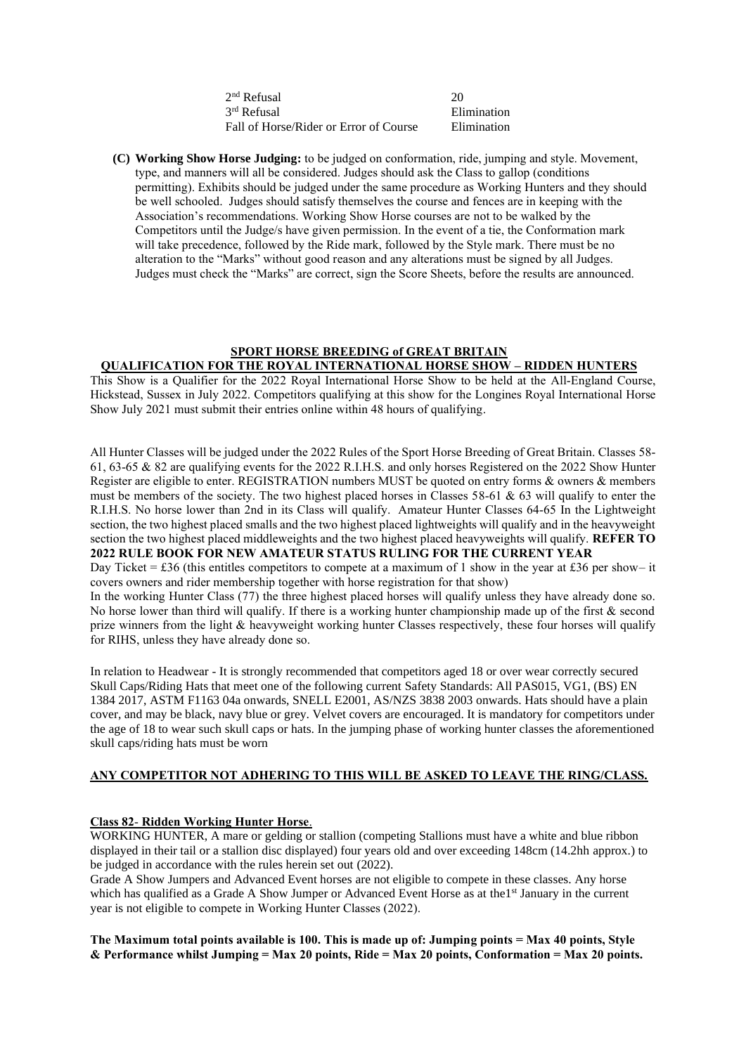2 nd Refusal 20 3rd Refusal Fall of Horse/Rider or Error of Course Elimination

**(C) Working Show Horse Judging:** to be judged on conformation, ride, jumping and style. Movement, type, and manners will all be considered. Judges should ask the Class to gallop (conditions permitting). Exhibits should be judged under the same procedure as Working Hunters and they should be well schooled. Judges should satisfy themselves the course and fences are in keeping with the Association's recommendations. Working Show Horse courses are not to be walked by the Competitors until the Judge/s have given permission. In the event of a tie, the Conformation mark will take precedence, followed by the Ride mark, followed by the Style mark. There must be no alteration to the "Marks" without good reason and any alterations must be signed by all Judges. Judges must check the "Marks" are correct, sign the Score Sheets, before the results are announced.

**Elimination** 

#### **SPORT HORSE BREEDING of GREAT BRITAIN QUALIFICATION FOR THE ROYAL INTERNATIONAL HORSE SHOW – RIDDEN HUNTERS**

This Show is a Qualifier for the 2022 Royal International Horse Show to be held at the All-England Course, Hickstead, Sussex in July 2022. Competitors qualifying at this show for the Longines Royal International Horse Show July 2021 must submit their entries online within 48 hours of qualifying.

All Hunter Classes will be judged under the 2022 Rules of the Sport Horse Breeding of Great Britain. Classes 58- 61, 63-65 & 82 are qualifying events for the 2022 R.I.H.S. and only horses Registered on the 2022 Show Hunter Register are eligible to enter. REGISTRATION numbers MUST be quoted on entry forms & owners & members must be members of the society. The two highest placed horses in Classes 58-61 & 63 will qualify to enter the R.I.H.S. No horse lower than 2nd in its Class will qualify. Amateur Hunter Classes 64-65 In the Lightweight section, the two highest placed smalls and the two highest placed lightweights will qualify and in the heavyweight section the two highest placed middleweights and the two highest placed heavyweights will qualify. **REFER TO 2022 RULE BOOK FOR NEW AMATEUR STATUS RULING FOR THE CURRENT YEAR**

Day Ticket = £36 (this entitles competitors to compete at a maximum of 1 show in the year at £36 per show– it covers owners and rider membership together with horse registration for that show)

In the working Hunter Class (77) the three highest placed horses will qualify unless they have already done so. No horse lower than third will qualify. If there is a working hunter championship made up of the first & second prize winners from the light & heavyweight working hunter Classes respectively, these four horses will qualify for RIHS, unless they have already done so.

In relation to Headwear - It is strongly recommended that competitors aged 18 or over wear correctly secured Skull Caps/Riding Hats that meet one of the following current Safety Standards: All PAS015, VG1, (BS) EN 1384 2017, ASTM F1163 04a onwards, SNELL E2001, AS/NZS 3838 2003 onwards. Hats should have a plain cover, and may be black, navy blue or grey. Velvet covers are encouraged. It is mandatory for competitors under the age of 18 to wear such skull caps or hats. In the jumping phase of working hunter classes the aforementioned skull caps/riding hats must be worn

### **ANY COMPETITOR NOT ADHERING TO THIS WILL BE ASKED TO LEAVE THE RING/CLASS.**

# **Class 82**- **Ridden Working Hunter Horse**.

WORKING HUNTER, A mare or gelding or stallion (competing Stallions must have a white and blue ribbon displayed in their tail or a stallion disc displayed) four years old and over exceeding 148cm (14.2hh approx.) to be judged in accordance with the rules herein set out (2022).

Grade A Show Jumpers and Advanced Event horses are not eligible to compete in these classes. Any horse which has qualified as a Grade A Show Jumper or Advanced Event Horse as at the 1st January in the current year is not eligible to compete in Working Hunter Classes (2022).

**The Maximum total points available is 100. This is made up of: Jumping points = Max 40 points, Style & Performance whilst Jumping = Max 20 points, Ride = Max 20 points, Conformation = Max 20 points.**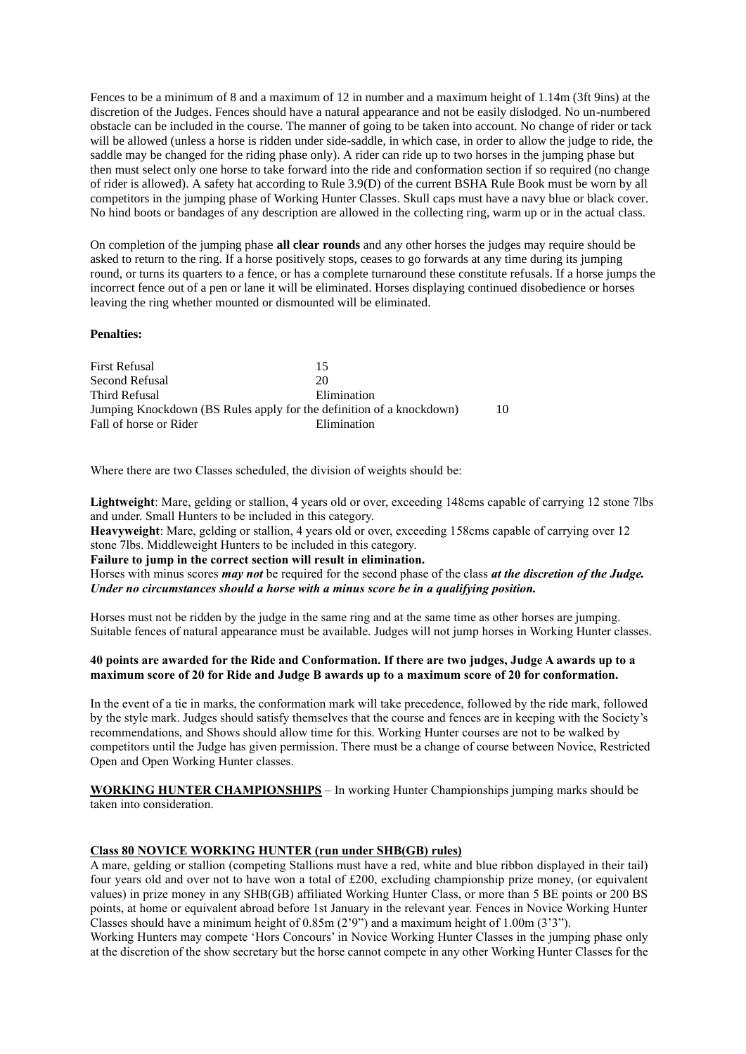Fences to be a minimum of 8 and a maximum of 12 in number and a maximum height of 1.14m (3ft 9ins) at the discretion of the Judges. Fences should have a natural appearance and not be easily dislodged. No un-numbered obstacle can be included in the course. The manner of going to be taken into account. No change of rider or tack will be allowed (unless a horse is ridden under side-saddle, in which case, in order to allow the judge to ride, the saddle may be changed for the riding phase only). A rider can ride up to two horses in the jumping phase but then must select only one horse to take forward into the ride and conformation section if so required (no change of rider is allowed). A safety hat according to Rule 3.9(D) of the current BSHA Rule Book must be worn by all competitors in the jumping phase of Working Hunter Classes. Skull caps must have a navy blue or black cover. No hind boots or bandages of any description are allowed in the collecting ring, warm up or in the actual class.

On completion of the jumping phase **all clear rounds** and any other horses the judges may require should be asked to return to the ring. If a horse positively stops, ceases to go forwards at any time during its jumping round, or turns its quarters to a fence, or has a complete turnaround these constitute refusals. If a horse jumps the incorrect fence out of a pen or lane it will be eliminated. Horses displaying continued disobedience or horses leaving the ring whether mounted or dismounted will be eliminated.

#### **Penalties:**

| 15                                                                         |  |  |
|----------------------------------------------------------------------------|--|--|
| 20                                                                         |  |  |
| Elimination                                                                |  |  |
| Jumping Knockdown (BS Rules apply for the definition of a knockdown)<br>10 |  |  |
| Elimination                                                                |  |  |
|                                                                            |  |  |

Where there are two Classes scheduled, the division of weights should be:

**Lightweight**: Mare, gelding or stallion, 4 years old or over, exceeding 148cms capable of carrying 12 stone 7lbs and under. Small Hunters to be included in this category.

**Heavyweight**: Mare, gelding or stallion, 4 years old or over, exceeding 158cms capable of carrying over 12 stone 7lbs. Middleweight Hunters to be included in this category.

#### **Failure to jump in the correct section will result in elimination.**

Horses with minus scores *may not* be required for the second phase of the class *at the discretion of the Judge. Under no circumstances should a horse with a minus score be in a qualifying position.*

Horses must not be ridden by the judge in the same ring and at the same time as other horses are jumping. Suitable fences of natural appearance must be available. Judges will not jump horses in Working Hunter classes.

#### **40 points are awarded for the Ride and Conformation. If there are two judges, Judge A awards up to a maximum score of 20 for Ride and Judge B awards up to a maximum score of 20 for conformation.**

In the event of a tie in marks, the conformation mark will take precedence, followed by the ride mark, followed by the style mark. Judges should satisfy themselves that the course and fences are in keeping with the Society's recommendations, and Shows should allow time for this. Working Hunter courses are not to be walked by competitors until the Judge has given permission. There must be a change of course between Novice, Restricted Open and Open Working Hunter classes.

**WORKING HUNTER CHAMPIONSHIPS** – In working Hunter Championships jumping marks should be taken into consideration.

#### **Class 80 NOVICE WORKING HUNTER (run under SHB(GB) rules)**

A mare, gelding or stallion (competing Stallions must have a red, white and blue ribbon displayed in their tail) four years old and over not to have won a total of £200, excluding championship prize money, (or equivalent values) in prize money in any SHB(GB) affiliated Working Hunter Class, or more than 5 BE points or 200 BS points, at home or equivalent abroad before 1st January in the relevant year. Fences in Novice Working Hunter Classes should have a minimum height of 0.85m (2'9") and a maximum height of 1.00m (3'3").

Working Hunters may compete 'Hors Concours' in Novice Working Hunter Classes in the jumping phase only at the discretion of the show secretary but the horse cannot compete in any other Working Hunter Classes for the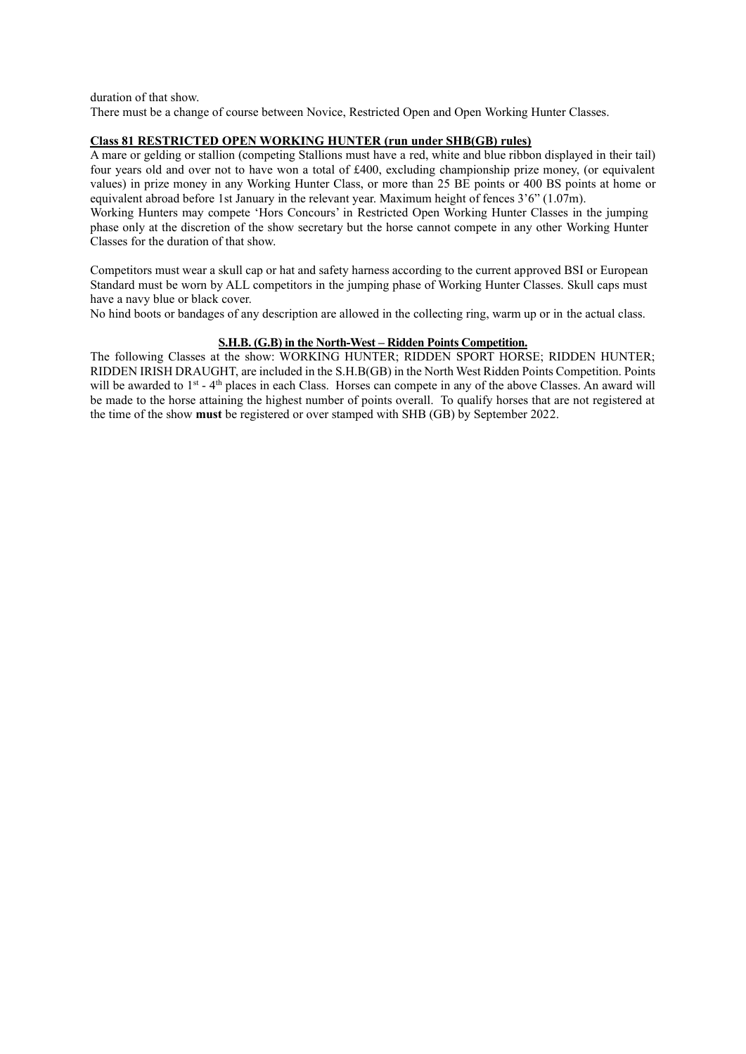duration of that show.

There must be a change of course between Novice, Restricted Open and Open Working Hunter Classes.

#### **Class 81 RESTRICTED OPEN WORKING HUNTER (run under SHB(GB) rules)**

A mare or gelding or stallion (competing Stallions must have a red, white and blue ribbon displayed in their tail) four years old and over not to have won a total of £400, excluding championship prize money, (or equivalent values) in prize money in any Working Hunter Class, or more than 25 BE points or 400 BS points at home or equivalent abroad before 1st January in the relevant year. Maximum height of fences 3'6" (1.07m).

Working Hunters may compete 'Hors Concours' in Restricted Open Working Hunter Classes in the jumping phase only at the discretion of the show secretary but the horse cannot compete in any other Working Hunter Classes for the duration of that show.

Competitors must wear a skull cap or hat and safety harness according to the current approved BSI or European Standard must be worn by ALL competitors in the jumping phase of Working Hunter Classes. Skull caps must have a navy blue or black cover.

No hind boots or bandages of any description are allowed in the collecting ring, warm up or in the actual class.

#### **S.H.B. (G.B) in the North-West – Ridden Points Competition.**

The following Classes at the show: WORKING HUNTER; RIDDEN SPORT HORSE; RIDDEN HUNTER; RIDDEN IRISH DRAUGHT, are included in the S.H.B(GB) in the North West Ridden Points Competition. Points will be awarded to  $1<sup>st</sup> - 4<sup>th</sup>$  places in each Class. Horses can compete in any of the above Classes. An award will be made to the horse attaining the highest number of points overall. To qualify horses that are not registered at the time of the show **must** be registered or over stamped with SHB (GB) by September 2022.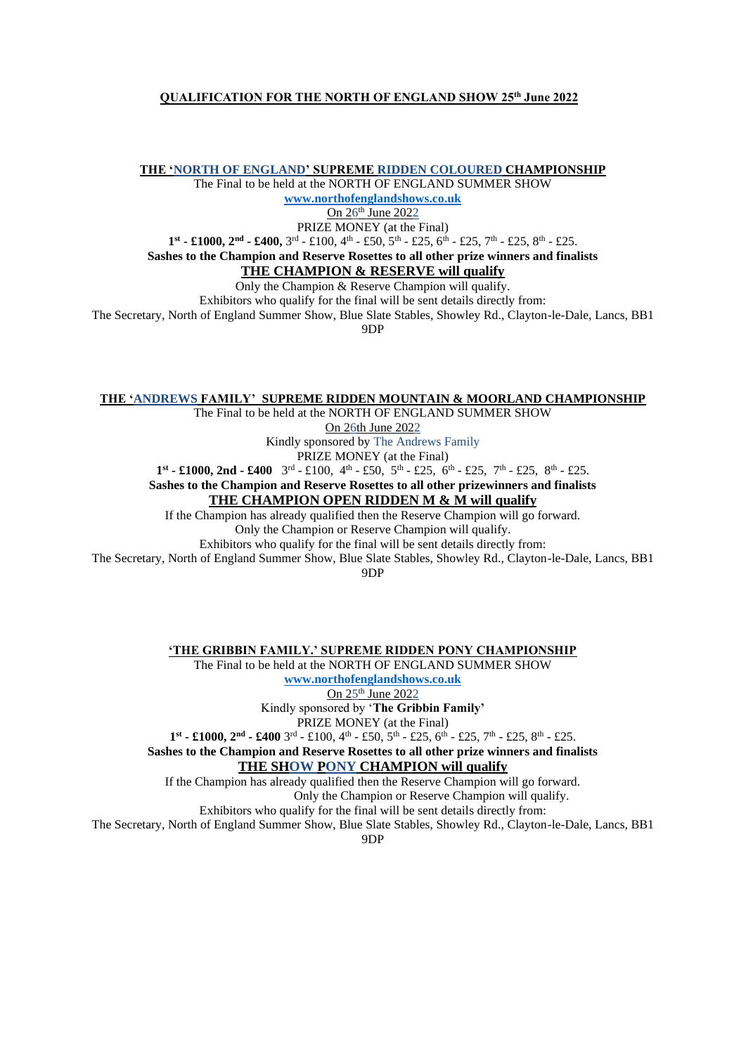#### **QUALIFICATION FOR THE NORTH OF ENGLAND SHOW 25th June 2022**

**THE 'NORTH OF ENGLAND' SUPREME RIDDEN COLOURED CHAMPIONSHIP**

The Final to be held at the NORTH OF ENGLAND SUMMER SHOW **[www.northofenglandshows.co.uk](http://www.northofenglandshows.co.uk/)**

On 26<sup>th</sup> June 2022

PRIZE MONEY (at the Final)

 $1<sup>st</sup>$  **-** £1000,  $2<sup>nd</sup>$  **-** £400,  $3<sup>rd</sup>$  - £100,  $4<sup>th</sup>$  - £50,  $5<sup>th</sup>$  - £25,  $6<sup>th</sup>$  - £25,  $7<sup>th</sup>$  - £25,  $8<sup>th</sup>$  - £25.

**Sashes to the Champion and Reserve Rosettes to all other prize winners and finalists**

#### **THE CHAMPION & RESERVE will qualify**

Only the Champion & Reserve Champion will qualify.

Exhibitors who qualify for the final will be sent details directly from:

The Secretary, North of England Summer Show, Blue Slate Stables, Showley Rd., Clayton-le-Dale, Lancs, BB1

9DP

#### **THE 'ANDREWS FAMILY' SUPREME RIDDEN MOUNTAIN & MOORLAND CHAMPIONSHIP**

The Final to be held at the NORTH OF ENGLAND SUMMER SHOW

On 26th June 2022

Kindly sponsored by The Andrews Family

PRIZE MONEY (at the Final)

 $1<sup>st</sup>$  **-** £1000, 2nd - £400  $3<sup>rd</sup>$  - £100, 4<sup>th</sup> - £50, 5<sup>th</sup> - £25, 6<sup>th</sup> - £25, 7<sup>th</sup> - £25, 8<sup>th</sup> - £25.

**Sashes to the Champion and Reserve Rosettes to all other prizewinners and finalists**

#### **THE CHAMPION OPEN RIDDEN M & M will qualify**

If the Champion has already qualified then the Reserve Champion will go forward. Only the Champion or Reserve Champion will qualify.

Exhibitors who qualify for the final will be sent details directly from:

The Secretary, North of England Summer Show, Blue Slate Stables, Showley Rd., Clayton-le-Dale, Lancs, BB1

9DP

**'THE GRIBBIN FAMILY.' SUPREME RIDDEN PONY CHAMPIONSHIP**

The Final to be held at the NORTH OF ENGLAND SUMMER SHOW **[www.northofenglandshows.co.uk](http://www.northofenglandshows.co.uk/)** On 25<sup>th</sup> June 2022

Kindly sponsored by '**The Gribbin Family'** 

PRIZE MONEY (at the Final)

 $1<sup>st</sup>$  **-** £1000,  $2<sup>nd</sup>$  **-** £400 3<sup>rd</sup> - £100, 4<sup>th</sup> - £50, 5<sup>th</sup> - £25, 6<sup>th</sup> - £25, 7<sup>th</sup> - £25, 8<sup>th</sup> - £25.

**Sashes to the Champion and Reserve Rosettes to all other prize winners and finalists THE SHOW PONY CHAMPION will qualify**

If the Champion has already qualified then the Reserve Champion will go forward. Only the Champion or Reserve Champion will qualify.

Exhibitors who qualify for the final will be sent details directly from:

The Secretary, North of England Summer Show, Blue Slate Stables, Showley Rd., Clayton-le-Dale, Lancs, BB1

9DP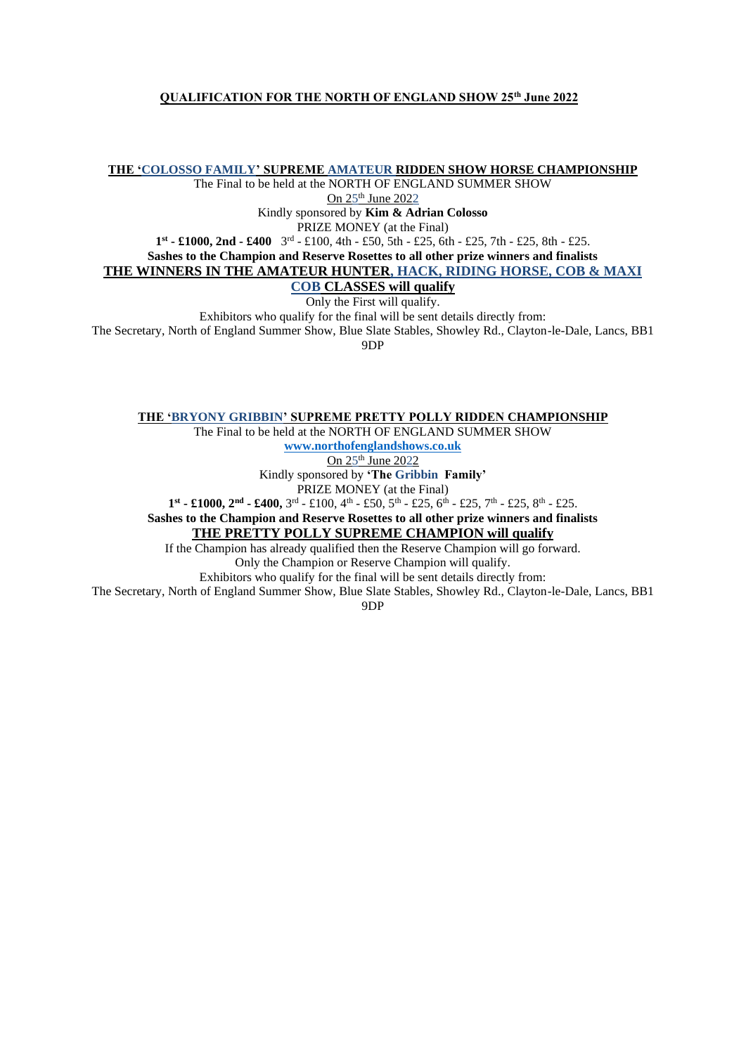#### **QUALIFICATION FOR THE NORTH OF ENGLAND SHOW 25th June 2022**

**THE 'COLOSSO FAMILY' SUPREME AMATEUR RIDDEN SHOW HORSE CHAMPIONSHIP**

The Final to be held at the NORTH OF ENGLAND SUMMER SHOW

On 25<sup>th</sup> June 2022

Kindly sponsored by **Kim & Adrian Colosso**

PRIZE MONEY (at the Final)

**1 st - £1000, 2nd - £400** 3 rd - £100, 4th - £50, 5th - £25, 6th - £25, 7th - £25, 8th - £25.

**Sashes to the Champion and Reserve Rosettes to all other prize winners and finalists**

**THE WINNERS IN THE AMATEUR HUNTER, HACK, RIDING HORSE, COB & MAXI** 

#### **COB CLASSES will qualify**

Only the First will qualify.

Exhibitors who qualify for the final will be sent details directly from:

The Secretary, North of England Summer Show, Blue Slate Stables, Showley Rd., Clayton-le-Dale, Lancs, BB1 9DP

**THE 'BRYONY GRIBBIN' SUPREME PRETTY POLLY RIDDEN CHAMPIONSHIP**

The Final to be held at the NORTH OF ENGLAND SUMMER SHOW

**[www.northofenglandshows.co.uk](http://www.northofenglandshows.co.uk/)**

On 25<sup>th</sup> June 2022

Kindly sponsored by **'The Gribbin Family'**

PRIZE MONEY (at the Final)

 $1<sup>st</sup>$  **-** £1000,  $2<sup>nd</sup>$  **-** £400,  $3<sup>rd</sup>$  - £100,  $4<sup>th</sup>$  - £50,  $5<sup>th</sup>$  - £25,  $6<sup>th</sup>$  - £25,  $7<sup>th</sup>$  - £25,  $8<sup>th</sup>$  - £25.

**Sashes to the Champion and Reserve Rosettes to all other prize winners and finalists**

# **THE PRETTY POLLY SUPREME CHAMPION will qualify**

If the Champion has already qualified then the Reserve Champion will go forward. Only the Champion or Reserve Champion will qualify.

Exhibitors who qualify for the final will be sent details directly from:

The Secretary, North of England Summer Show, Blue Slate Stables, Showley Rd., Clayton-le-Dale, Lancs, BB1

9DP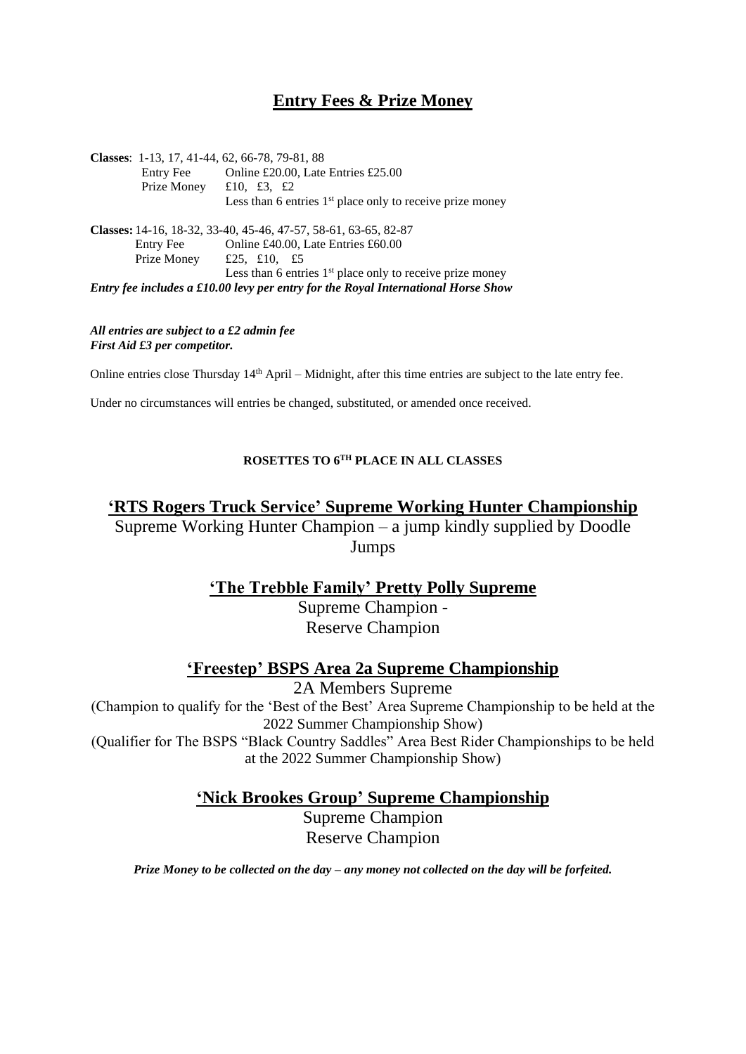# **Entry Fees & Prize Money**

**Classes**: 1-13, 17, 41-44, 62, 66-78, 79-81, 88 Entry Fee Online £20.00, Late Entries £25.00 Prize Money £10, £3, £2 Less than 6 entries  $1<sup>st</sup>$  place only to receive prize money **Classes:** 14-16, 18-32, 33-40, 45-46, 47-57, 58-61, 63-65, 82-87 Entry Fee Online £40.00, Late Entries £60.00 Prize Money £25, £10, £5 Less than 6 entries  $1<sup>st</sup>$  place only to receive prize money *Entry fee includes a £10.00 levy per entry for the Royal International Horse Show*

*All entries are subject to a £2 admin fee First Aid £3 per competitor.* 

Online entries close Thursday  $14<sup>th</sup>$  April – Midnight, after this time entries are subject to the late entry fee.

Under no circumstances will entries be changed, substituted, or amended once received.

# **ROSETTES TO 6TH PLACE IN ALL CLASSES**

# **'RTS Rogers Truck Service' Supreme Working Hunter Championship** Supreme Working Hunter Champion – a jump kindly supplied by Doodle Jumps

# **'The Trebble Family' Pretty Polly Supreme**

Supreme Champion - Reserve Champion

# **'Freestep' BSPS Area 2a Supreme Championship**

2A Members Supreme

(Champion to qualify for the 'Best of the Best' Area Supreme Championship to be held at the 2022 Summer Championship Show)

(Qualifier for The BSPS "Black Country Saddles" Area Best Rider Championships to be held at the 2022 Summer Championship Show)

**'Nick Brookes Group' Supreme Championship**

Supreme Champion Reserve Champion

*Prize Money to be collected on the day – any money not collected on the day will be forfeited.*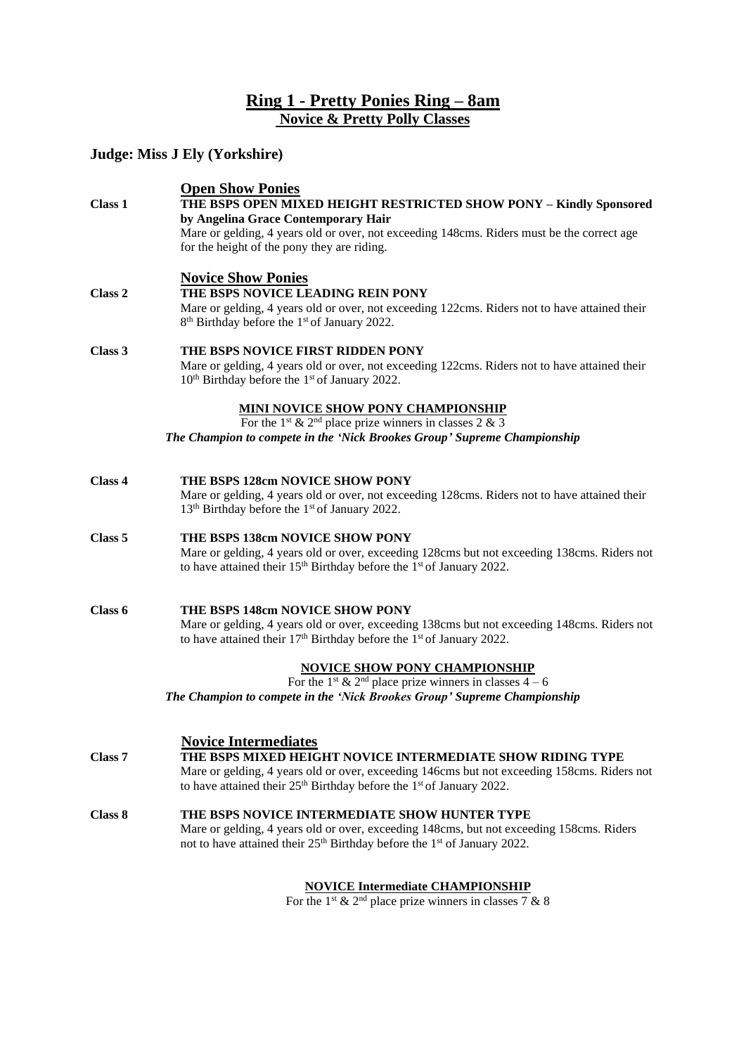# **Ring 1 - Pretty Ponies Ring – 8am Novice & Pretty Polly Classes**

# **Judge: Miss J Ely (Yorkshire)**

| Class 1            | <b>Open Show Ponies</b><br>THE BSPS OPEN MIXED HEIGHT RESTRICTED SHOW PONY - Kindly Sponsored                                                                          |
|--------------------|------------------------------------------------------------------------------------------------------------------------------------------------------------------------|
|                    | by Angelina Grace Contemporary Hair                                                                                                                                    |
|                    | Mare or gelding, 4 years old or over, not exceeding 148cms. Riders must be the correct age<br>for the height of the pony they are riding.                              |
|                    |                                                                                                                                                                        |
| Class <sub>2</sub> | <b>Novice Show Ponies</b><br>THE BSPS NOVICE LEADING REIN PONY                                                                                                         |
|                    | Mare or gelding, 4 years old or over, not exceeding 122cms. Riders not to have attained their                                                                          |
|                    | 8 <sup>th</sup> Birthday before the 1 <sup>st</sup> of January 2022.                                                                                                   |
| Class 3            | THE BSPS NOVICE FIRST RIDDEN PONY                                                                                                                                      |
|                    | Mare or gelding, 4 years old or over, not exceeding 122cms. Riders not to have attained their<br>10 <sup>th</sup> Birthday before the 1 <sup>st</sup> of January 2022. |
|                    | <u>MINI NOVICE SHOW PONY CHAMPIONSHIP</u>                                                                                                                              |
|                    | For the 1 <sup>st</sup> & 2 <sup>nd</sup> place prize winners in classes 2 & 3<br>The Champion to compete in the 'Nick Brookes Group' Supreme Championship             |
|                    |                                                                                                                                                                        |
| Class 4            | THE BSPS 128cm NOVICE SHOW PONY                                                                                                                                        |
|                    | Mare or gelding, 4 years old or over, not exceeding 128cms. Riders not to have attained their                                                                          |
|                    | 13 <sup>th</sup> Birthday before the 1 <sup>st</sup> of January 2022.                                                                                                  |
| Class 5            | THE BSPS 138cm NOVICE SHOW PONY                                                                                                                                        |
|                    | Mare or gelding, 4 years old or over, exceeding 128cms but not exceeding 138cms. Riders not                                                                            |
|                    | to have attained their 15 <sup>th</sup> Birthday before the 1 <sup>st</sup> of January 2022.                                                                           |
| Class 6            | THE BSPS 148cm NOVICE SHOW PONY                                                                                                                                        |
|                    | Mare or gelding, 4 years old or over, exceeding 138cms but not exceeding 148cms. Riders not                                                                            |
|                    | to have attained their $17th$ Birthday before the $1st$ of January 2022.                                                                                               |
|                    | <b>NOVICE SHOW PONY CHAMPIONSHIP</b>                                                                                                                                   |
|                    | For the 1 <sup>st</sup> & 2 <sup>nd</sup> place prize winners in classes $4-6$                                                                                         |
|                    | The Champion to compete in the 'Nick Brookes Group' Supreme Championship                                                                                               |
|                    | <b>Novice Intermediates</b>                                                                                                                                            |
| Class 7            | THE BSPS MIXED HEIGHT NOVICE INTERMEDIATE SHOW RIDING TYPE                                                                                                             |
|                    | Mare or gelding, 4 years old or over, exceeding 146cms but not exceeding 158cms. Riders not                                                                            |
|                    | to have attained their $25th$ Birthday before the 1 <sup>st</sup> of January 2022.                                                                                     |
| Class 8            | THE BSPS NOVICE INTERMEDIATE SHOW HUNTER TYPE                                                                                                                          |
|                    | Mare or gelding, 4 years old or over, exceeding 148cms, but not exceeding 158cms. Riders                                                                               |
|                    | not to have attained their 25 <sup>th</sup> Birthday before the 1 <sup>st</sup> of January 2022.                                                                       |

### **NOVICE Intermediate CHAMPIONSHIP**

For the 1<sup>st</sup> & 2<sup>nd</sup> place prize winners in classes 7 & 8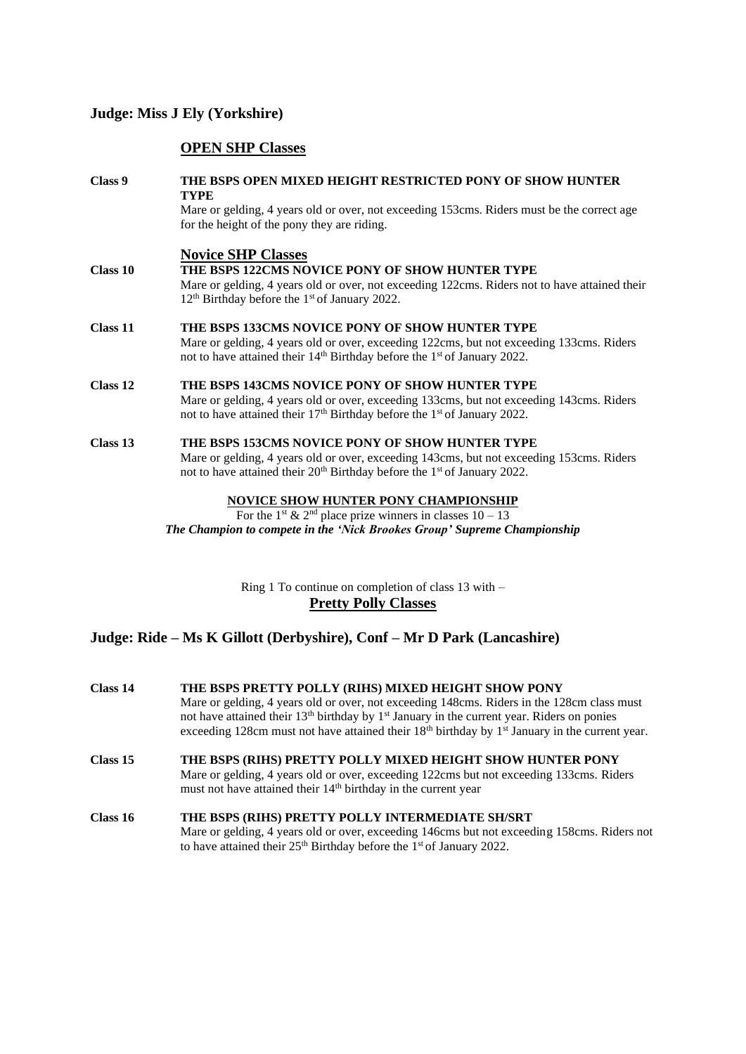# **Judge: Miss J Ely (Yorkshire)**

# **OPEN SHP Classes**

| Class 9  | THE BSPS OPEN MIXED HEIGHT RESTRICTED PONY OF SHOW HUNTER<br><b>TYPE</b>                                                                                                                     |  |  |
|----------|----------------------------------------------------------------------------------------------------------------------------------------------------------------------------------------------|--|--|
|          | Mare or gelding, 4 years old or over, not exceeding 153cms. Riders must be the correct age<br>for the height of the pony they are riding.                                                    |  |  |
|          | <b>Novice SHP Classes</b>                                                                                                                                                                    |  |  |
| Class 10 | THE BSPS 122CMS NOVICE PONY OF SHOW HUNTER TYPE                                                                                                                                              |  |  |
|          | Mare or gelding, 4 years old or over, not exceeding 122cms. Riders not to have attained their<br>$12th$ Birthday before the 1 <sup>st</sup> of January 2022.                                 |  |  |
| Class 11 | THE BSPS 133CMS NOVICE PONY OF SHOW HUNTER TYPE                                                                                                                                              |  |  |
|          | Mare or gelding, 4 years old or over, exceeding 122cms, but not exceeding 133cms. Riders<br>not to have attained their 14 <sup>th</sup> Birthday before the 1 <sup>st</sup> of January 2022. |  |  |
| Class 12 | THE BSPS 143CMS NOVICE PONY OF SHOW HUNTER TYPE                                                                                                                                              |  |  |
|          | Mare or gelding, 4 years old or over, exceeding 133cms, but not exceeding 143cms. Riders<br>not to have attained their 17 <sup>th</sup> Birthday before the 1 <sup>st</sup> of January 2022. |  |  |
| Class 13 | THE BSPS 153CMS NOVICE PONY OF SHOW HUNTER TYPE                                                                                                                                              |  |  |
|          | Mare or gelding, 4 years old or over, exceeding 143cms, but not exceeding 153cms. Riders                                                                                                     |  |  |
|          | not to have attained their 20 <sup>th</sup> Birthday before the 1 <sup>st</sup> of January 2022.                                                                                             |  |  |
|          | <b>NOVICE SHOW HUNTER PONY CHAMPIONSHIP</b>                                                                                                                                                  |  |  |
|          | For the 1 <sup>st</sup> & 2 <sup>nd</sup> place prize winners in classes $10 - 13$                                                                                                           |  |  |

*The Champion to compete in the 'Nick Brookes Group' Supreme Championship*

Ring 1 To continue on completion of class 13 with – **Pretty Polly Classes**

# **Judge: Ride – Ms K Gillott (Derbyshire), Conf – Mr D Park (Lancashire)**

| Class 14        | THE BSPS PRETTY POLLY (RIHS) MIXED HEIGHT SHOW PONY<br>Mare or gelding, 4 years old or over, not exceeding 148cms. Riders in the 128cm class must<br>not have attained their 13 <sup>th</sup> birthday by 1 <sup>st</sup> January in the current year. Riders on ponies<br>exceeding 128cm must not have attained their $18th$ birthday by $1st$ January in the current year. |
|-----------------|-------------------------------------------------------------------------------------------------------------------------------------------------------------------------------------------------------------------------------------------------------------------------------------------------------------------------------------------------------------------------------|
| Class 15        | THE BSPS (RIHS) PRETTY POLLY MIXED HEIGHT SHOW HUNTER PONY<br>Mare or gelding, 4 years old or over, exceeding 122cms but not exceeding 133cms. Riders<br>must not have attained their 14 <sup>th</sup> birthday in the current year                                                                                                                                           |
| <b>Class 16</b> | THE BSPS (RIHS) PRETTY POLLY INTERMEDIATE SH/SRT<br>Mare or gelding, 4 years old or over, exceeding 146cms but not exceeding 158cms. Riders not<br>to have attained their 25 <sup>th</sup> Birthday before the 1 <sup>st</sup> of January 2022.                                                                                                                               |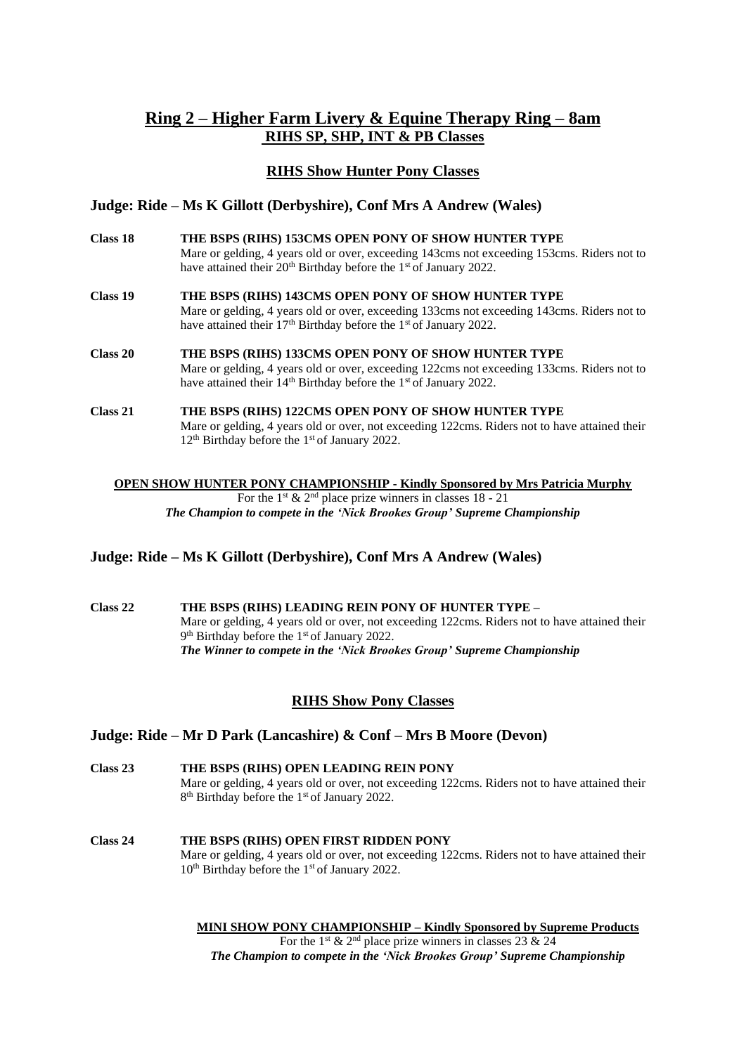# **Ring 2 – Higher Farm Livery & Equine Therapy Ring – 8am RIHS SP, SHP, INT & PB Classes**

# **RIHS Show Hunter Pony Classes**

#### **Judge: Ride – Ms K Gillott (Derbyshire), Conf Mrs A Andrew (Wales)**

| Class 18 | THE BSPS (RIHS) 153CMS OPEN PONY OF SHOW HUNTER TYPE<br>Mare or gelding, 4 years old or over, exceeding 143cms not exceeding 153cms. Riders not to<br>have attained their 20 <sup>th</sup> Birthday before the 1 <sup>st</sup> of January 2022. |
|----------|-------------------------------------------------------------------------------------------------------------------------------------------------------------------------------------------------------------------------------------------------|
| Class 19 | THE BSPS (RIHS) 143CMS OPEN PONY OF SHOW HUNTER TYPE<br>Mare or gelding, 4 years old or over, exceeding 133cms not exceeding 143cms. Riders not to<br>have attained their 17 <sup>th</sup> Birthday before the 1 <sup>st</sup> of January 2022. |
| Class 20 | THE BSPS (RIHS) 133CMS OPEN PONY OF SHOW HUNTER TYPE<br>Mare or gelding, 4 years old or over, exceeding 122cms not exceeding 133cms. Riders not to<br>have attained their 14 <sup>th</sup> Birthday before the 1 <sup>st</sup> of January 2022. |
| Class 21 | THE BSPS (RIHS) 122CMS OPEN PONY OF SHOW HUNTER TYPE<br>Mare or gelding, 4 years old or over, not exceeding 122cms. Riders not to have attained their<br>$12th$ Birthday before the 1 <sup>st</sup> of January 2022.                            |

#### **OPEN SHOW HUNTER PONY CHAMPIONSHIP - Kindly Sponsored by Mrs Patricia Murphy** For the 1<sup>st</sup> & 2<sup>nd</sup> place prize winners in classes 18 - 21 *The Champion to compete in the 'Nick Brookes Group' Supreme Championship*

### **Judge: Ride – Ms K Gillott (Derbyshire), Conf Mrs A Andrew (Wales)**

**Class 22 THE BSPS (RIHS) LEADING REIN PONY OF HUNTER TYPE –** Mare or gelding, 4 years old or over, not exceeding 122cms. Riders not to have attained their 9<sup>th</sup> Birthday before the 1<sup>st</sup> of January 2022. *The Winner to compete in the 'Nick Brookes Group' Supreme Championship*

### **RIHS Show Pony Classes**

### **Judge: Ride – Mr D Park (Lancashire) & Conf – Mrs B Moore (Devon)**

- **Class 23 THE BSPS (RIHS) OPEN LEADING REIN PONY** Mare or gelding, 4 years old or over, not exceeding 122cms. Riders not to have attained their 8<sup>th</sup> Birthday before the 1<sup>st</sup> of January 2022.
- **Class 24 THE BSPS (RIHS) OPEN FIRST RIDDEN PONY**  Mare or gelding, 4 years old or over, not exceeding 122cms. Riders not to have attained their 10<sup>th</sup> Birthday before the 1<sup>st</sup> of January 2022.

**MINI SHOW PONY CHAMPIONSHIP – Kindly Sponsored by Supreme Products**

For the 1<sup>st</sup> & 2<sup>nd</sup> place prize winners in classes 23 & 24 *The Champion to compete in the 'Nick Brookes Group' Supreme Championship*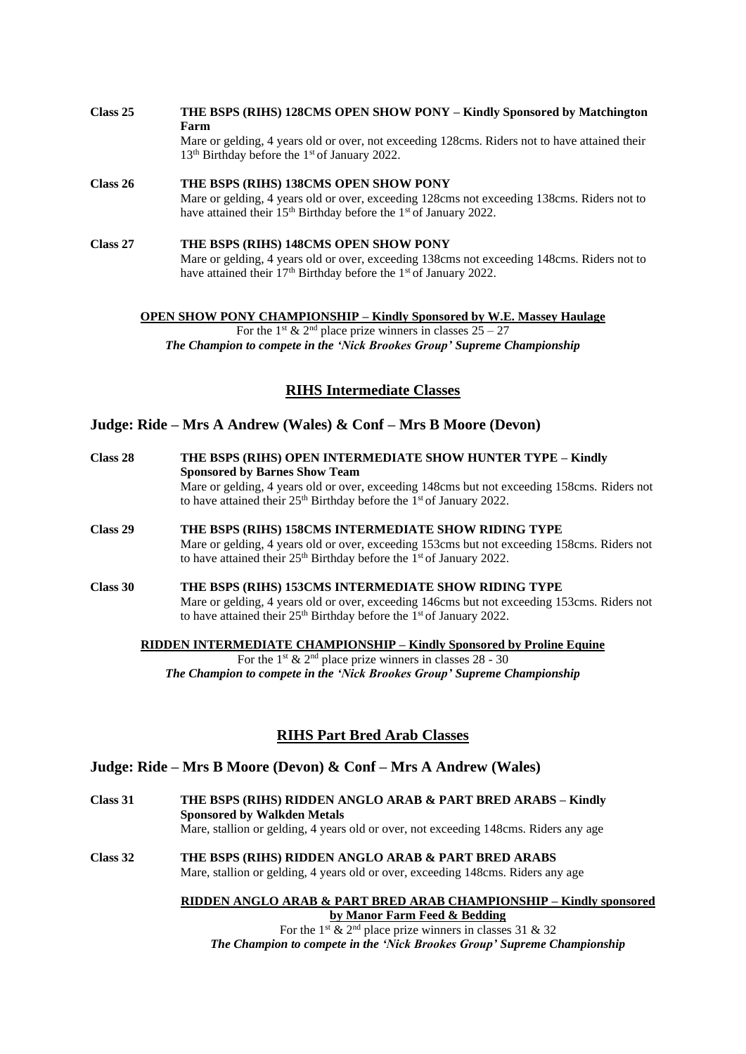- **Class 25 THE BSPS (RIHS) 128CMS OPEN SHOW PONY – Kindly Sponsored by Matchington Farm** Mare or gelding, 4 years old or over, not exceeding 128cms. Riders not to have attained their 13<sup>th</sup> Birthday before the 1<sup>st</sup> of January 2022.
- **Class 26 THE BSPS (RIHS) 138CMS OPEN SHOW PONY** Mare or gelding, 4 years old or over, exceeding 128cms not exceeding 138cms. Riders not to have attained their 15<sup>th</sup> Birthday before the 1<sup>st</sup> of January 2022.
- **Class 27 THE BSPS (RIHS) 148CMS OPEN SHOW PONY** Mare or gelding, 4 years old or over, exceeding 138cms not exceeding 148cms. Riders not to have attained their 17<sup>th</sup> Birthday before the 1<sup>st</sup> of January 2022.

**OPEN SHOW PONY CHAMPIONSHIP – Kindly Sponsored by W.E. Massey Haulage**

For the 1<sup>st</sup> & 2<sup>nd</sup> place prize winners in classes  $25 - 27$ *The Champion to compete in the 'Nick Brookes Group' Supreme Championship*

# **RIHS Intermediate Classes**

# **Judge: Ride – Mrs A Andrew (Wales) & Conf – Mrs B Moore (Devon)**

| Class 28 | THE BSPS (RIHS) OPEN INTERMEDIATE SHOW HUNTER TYPE – Kindly<br><b>Sponsored by Barnes Show Team</b><br>Mare or gelding, 4 years old or over, exceeding 148cms but not exceeding 158cms. Riders not<br>to have attained their $25th$ Birthday before the 1 <sup>st</sup> of January 2022. |
|----------|------------------------------------------------------------------------------------------------------------------------------------------------------------------------------------------------------------------------------------------------------------------------------------------|
| Class 29 | THE BSPS (RIHS) 158CMS INTERMEDIATE SHOW RIDING TYPE<br>Mare or gelding, 4 years old or over, exceeding 153cms but not exceeding 158cms. Riders not<br>to have attained their $25th$ Birthday before the 1 <sup>st</sup> of January 2022.                                                |
| Class 30 | THE BSPS (RIHS) 153CMS INTERMEDIATE SHOW RIDING TYPE<br>Mare or gelding, 4 years old or over, exceeding 146cms but not exceeding 153cms. Riders not<br>to have attained their 25 <sup>th</sup> Birthday before the 1 <sup>st</sup> of January 2022.                                      |

#### **RIDDEN INTERMEDIATE CHAMPIONSHIP – Kindly Sponsored by Proline Equine**

For the 1<sup>st</sup> & 2<sup>nd</sup> place prize winners in classes 28 - 30 *The Champion to compete in the 'Nick Brookes Group' Supreme Championship*

# **RIHS Part Bred Arab Classes**

# **Judge: Ride – Mrs B Moore (Devon) & Conf – Mrs A Andrew (Wales)**

**Class 31 THE BSPS (RIHS) RIDDEN ANGLO ARAB & PART BRED ARABS – Kindly Sponsored by Walkden Metals** Mare, stallion or gelding, 4 years old or over, not exceeding 148cms. Riders any age

**Class 32 THE BSPS (RIHS) RIDDEN ANGLO ARAB & PART BRED ARABS** Mare, stallion or gelding, 4 years old or over, exceeding 148cms. Riders any age

> **RIDDEN ANGLO ARAB & PART BRED ARAB CHAMPIONSHIP – Kindly sponsored by Manor Farm Feed & Bedding**

For the 1<sup>st</sup>  $\&$  2<sup>nd</sup> place prize winners in classes 31  $\&$  32 *The Champion to compete in the 'Nick Brookes Group' Supreme Championship*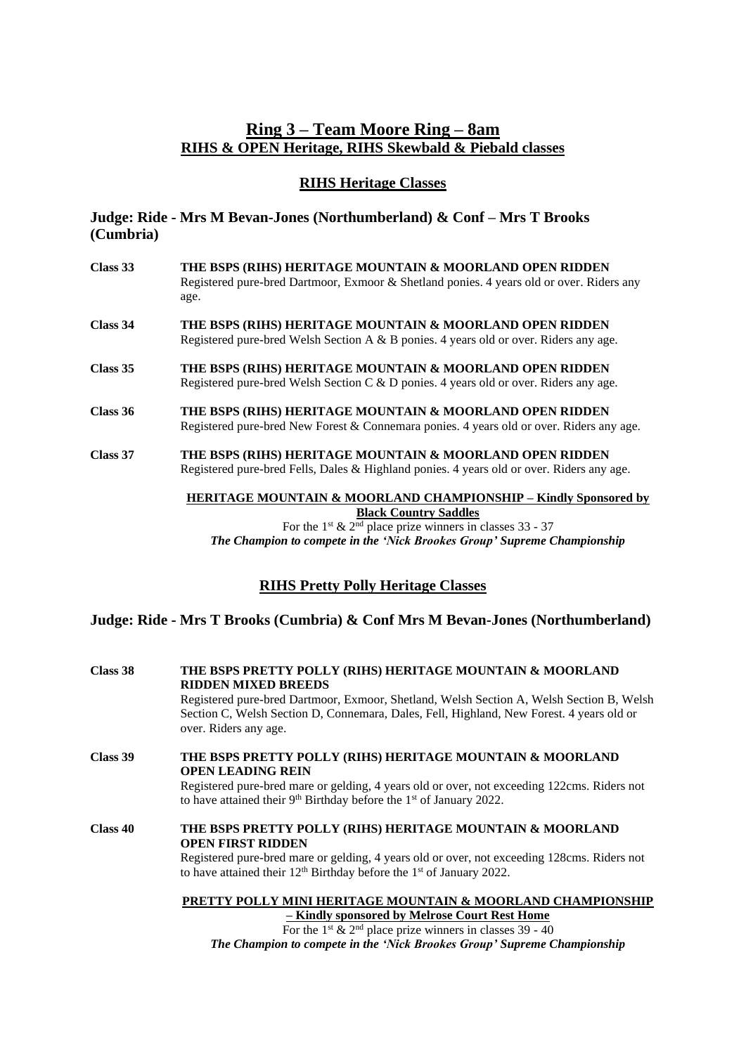# **Ring 3 – Team Moore Ring – 8am RIHS & OPEN Heritage, RIHS Skewbald & Piebald classes**

# **RIHS Heritage Classes**

# **Judge: Ride - Mrs M Bevan-Jones (Northumberland) & Conf – Mrs T Brooks (Cumbria)**

**Class 33 THE BSPS (RIHS) HERITAGE MOUNTAIN & MOORLAND OPEN RIDDEN** Registered pure-bred Dartmoor, Exmoor & Shetland ponies. 4 years old or over. Riders any age. **Class 34 THE BSPS (RIHS) HERITAGE MOUNTAIN & MOORLAND OPEN RIDDEN** Registered pure-bred Welsh Section A & B ponies. 4 years old or over. Riders any age. **Class 35 THE BSPS (RIHS) HERITAGE MOUNTAIN & MOORLAND OPEN RIDDEN** Registered pure-bred Welsh Section C & D ponies. 4 years old or over. Riders any age. **Class 36 THE BSPS (RIHS) HERITAGE MOUNTAIN & MOORLAND OPEN RIDDEN** Registered pure-bred New Forest & Connemara ponies. 4 years old or over. Riders any age. **Class 37 THE BSPS (RIHS) HERITAGE MOUNTAIN & MOORLAND OPEN RIDDEN** Registered pure-bred Fells, Dales & Highland ponies. 4 years old or over. Riders any age. **HERITAGE MOUNTAIN & MOORLAND CHAMPIONSHIP – Kindly Sponsored by Black Country Saddles**

For the 1<sup>st</sup> & 2<sup>nd</sup> place prize winners in classes  $33 - 37$ *The Champion to compete in the 'Nick Brookes Group' Supreme Championship*

# **RIHS Pretty Polly Heritage Classes**

# **Judge: Ride - Mrs T Brooks (Cumbria) & Conf Mrs M Bevan-Jones (Northumberland)**

| Class 38 | THE BSPS PRETTY POLLY (RIHS) HERITAGE MOUNTAIN & MOORLAND<br><b>RIDDEN MIXED BREEDS</b><br>Registered pure-bred Dartmoor, Exmoor, Shetland, Welsh Section A, Welsh Section B, Welsh<br>Section C, Welsh Section D, Connemara, Dales, Fell, Highland, New Forest. 4 years old or<br>over. Riders any age. |  |
|----------|----------------------------------------------------------------------------------------------------------------------------------------------------------------------------------------------------------------------------------------------------------------------------------------------------------|--|
| Class 39 | THE BSPS PRETTY POLLY (RIHS) HERITAGE MOUNTAIN & MOORLAND<br><b>OPEN LEADING REIN</b><br>Registered pure-bred mare or gelding, 4 years old or over, not exceeding 122cms. Riders not<br>to have attained their $9th$ Birthday before the 1 <sup>st</sup> of January 2022.                                |  |
| Class 40 | THE BSPS PRETTY POLLY (RIHS) HERITAGE MOUNTAIN & MOORLAND<br><b>OPEN FIRST RIDDEN</b><br>Registered pure-bred mare or gelding, 4 years old or over, not exceeding 128cms. Riders not<br>to have attained their $12th$ Birthday before the $1st$ of January 2022.                                         |  |
|          | PRETTY POLLY MINI HERITAGE MOUNTAIN & MOORLAND CHAMPIONSHIP                                                                                                                                                                                                                                              |  |

**– Kindly sponsored by Melrose Court Rest Home** For the 1<sup>st</sup>  $\&$  2<sup>nd</sup> place prize winners in classes 39 - 40 *The Champion to compete in the 'Nick Brookes Group' Supreme Championship*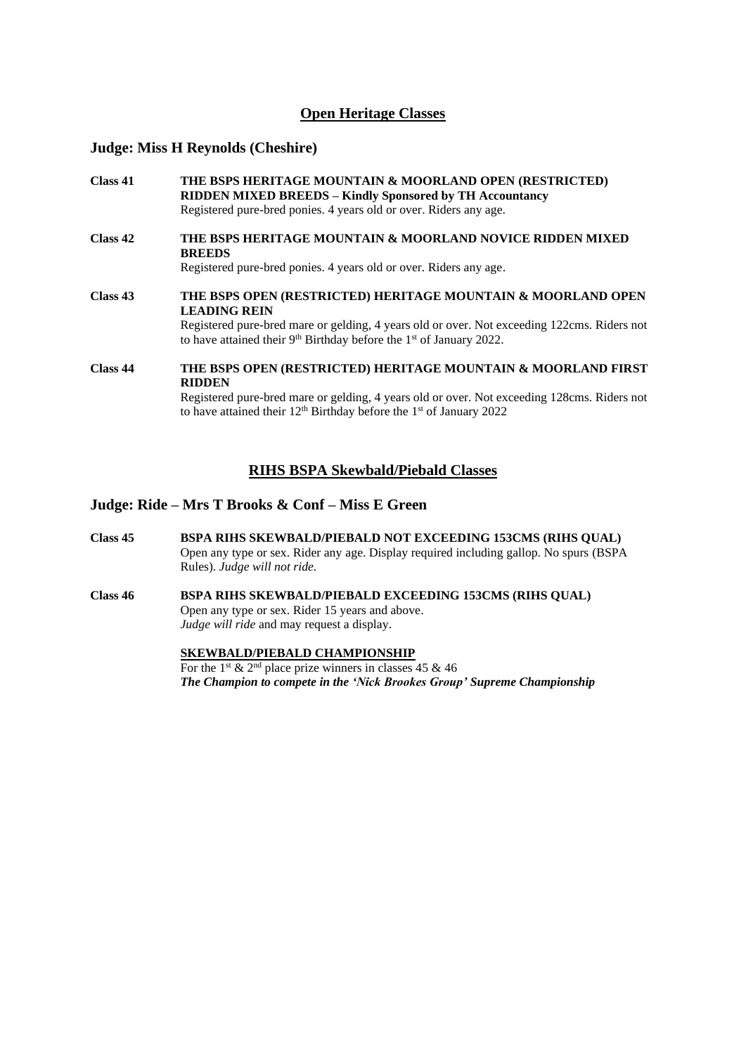# **Open Heritage Classes**

# **Judge: Miss H Reynolds (Cheshire)**

| Class 41 | THE BSPS HERITAGE MOUNTAIN & MOORLAND OPEN (RESTRICTED)<br>RIDDEN MIXED BREEDS - Kindly Sponsored by TH Accountancy<br>Registered pure-bred ponies. 4 years old or over. Riders any age. |
|----------|------------------------------------------------------------------------------------------------------------------------------------------------------------------------------------------|
|          |                                                                                                                                                                                          |
| Class 42 | THE BSPS HERITAGE MOUNTAIN & MOORLAND NOVICE RIDDEN MIXED<br><b>BREEDS</b>                                                                                                               |
|          | Registered pure-bred ponies. 4 years old or over. Riders any age.                                                                                                                        |
| Class 43 | THE BSPS OPEN (RESTRICTED) HERITAGE MOUNTAIN & MOORLAND OPEN<br><b>LEADING REIN</b>                                                                                                      |
|          | Registered pure-bred mare or gelding, 4 years old or over. Not exceeding 122cms. Riders not<br>to have attained their $9th$ Birthday before the 1 <sup>st</sup> of January 2022.         |
| Class 44 | THE BSPS OPEN (RESTRICTED) HERITAGE MOUNTAIN & MOORLAND FIRST<br><b>RIDDEN</b>                                                                                                           |
|          | Registered pure-bred mare or gelding, 4 years old or over. Not exceeding 128cms. Riders not<br>to have attained their $12th$ Birthday before the 1 <sup>st</sup> of January 2022         |

#### **RIHS BSPA Skewbald/Piebald Classes**

# **Judge: Ride – Mrs T Brooks & Conf – Miss E Green**

- **Class 45 BSPA RIHS SKEWBALD/PIEBALD NOT EXCEEDING 153CMS (RIHS QUAL)** Open any type or sex. Rider any age. Display required including gallop. No spurs (BSPA Rules). *Judge will not ride.*
- **Class 46 BSPA RIHS SKEWBALD/PIEBALD EXCEEDING 153CMS (RIHS QUAL)** Open any type or sex. Rider 15 years and above. *Judge will ride* and may request a display.

# **SKEWBALD/PIEBALD CHAMPIONSHIP**

For the 1<sup>st</sup> & 2<sup>nd</sup> place prize winners in classes 45 & 46 *The Champion to compete in the 'Nick Brookes Group' Supreme Championship*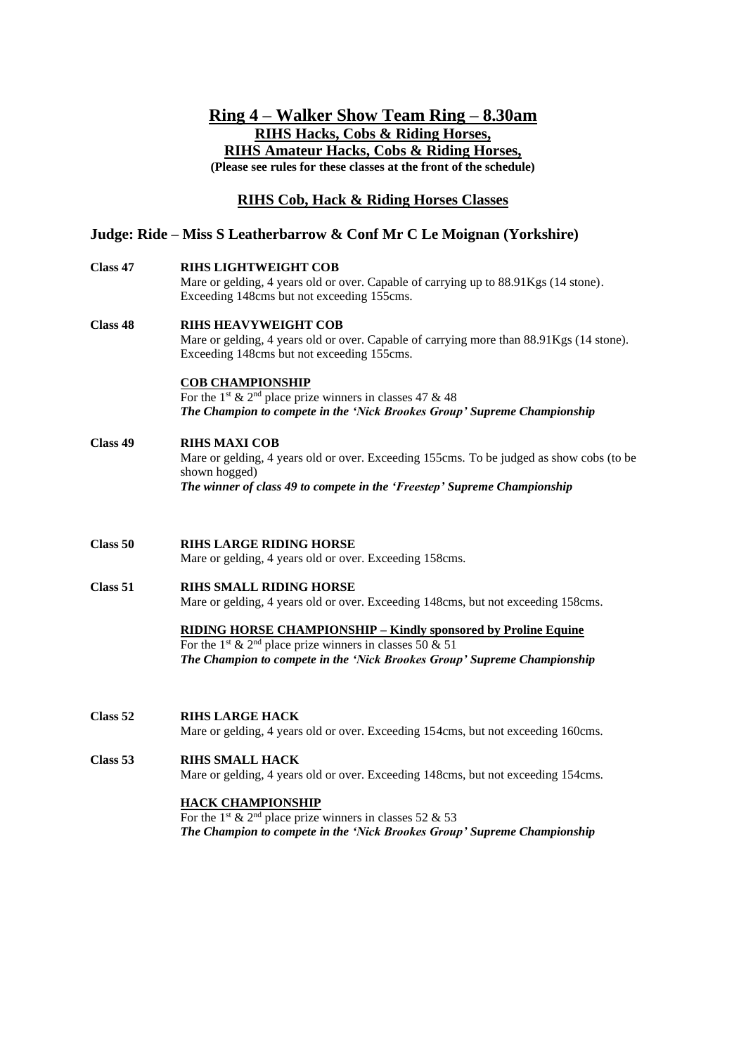# **Ring 4 – Walker Show Team Ring – 8.30am RIHS Hacks, Cobs & Riding Horses, RIHS Amateur Hacks, Cobs & Riding Horses, (Please see rules for these classes at the front of the schedule)**

# **RIHS Cob, Hack & Riding Horses Classes**

# **Judge: Ride – Miss S Leatherbarrow & Conf Mr C Le Moignan (Yorkshire)**

**Class 47 RIHS LIGHTWEIGHT COB**

Mare or gelding, 4 years old or over. Capable of carrying up to 88.91Kgs (14 stone). Exceeding 148cms but not exceeding 155cms.

**Class 48 RIHS HEAVYWEIGHT COB** Mare or gelding, 4 years old or over. Capable of carrying more than 88.91Kgs (14 stone). Exceeding 148cms but not exceeding 155cms.

#### **COB CHAMPIONSHIP**

For the 1<sup>st</sup> & 2<sup>nd</sup> place prize winners in classes 47 & 48 *The Champion to compete in the 'Nick Brookes Group' Supreme Championship*

#### **Class 49 RIHS MAXI COB**

Mare or gelding, 4 years old or over. Exceeding 155cms. To be judged as show cobs (to be shown hogged) *The winner of class 49 to compete in the 'Freestep' Supreme Championship*

**Class 50 RIHS LARGE RIDING HORSE**

Mare or gelding, 4 years old or over. Exceeding 158cms.

**Class 51 RIHS SMALL RIDING HORSE**

Mare or gelding, 4 years old or over. Exceeding 148cms, but not exceeding 158cms.

**RIDING HORSE CHAMPIONSHIP – Kindly sponsored by Proline Equine**

For the 1<sup>st</sup> & 2<sup>nd</sup> place prize winners in classes 50 & 51 *The Champion to compete in the 'Nick Brookes Group' Supreme Championship*

#### **Class 52 RIHS LARGE HACK**

Mare or gelding, 4 years old or over. Exceeding 154cms, but not exceeding 160cms.

### **Class 53 RIHS SMALL HACK**

Mare or gelding, 4 years old or over. Exceeding 148cms, but not exceeding 154cms.

### **HACK CHAMPIONSHIP**

For the 1<sup>st</sup> & 2<sup>nd</sup> place prize winners in classes 52 & 53 *The Champion to compete in the 'Nick Brookes Group' Supreme Championship*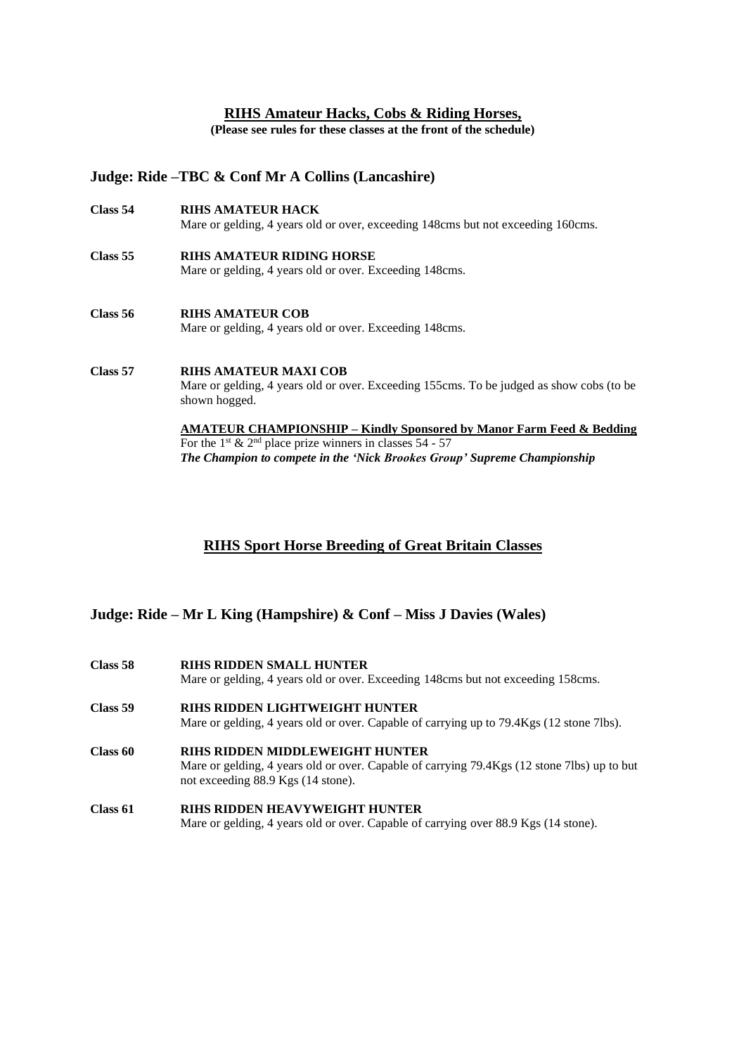### **RIHS Amateur Hacks, Cobs & Riding Horses,**

**(Please see rules for these classes at the front of the schedule)**

# **Judge: Ride –TBC & Conf Mr A Collins (Lancashire)**

**Class 54 RIHS AMATEUR HACK** Mare or gelding, 4 years old or over, exceeding 148cms but not exceeding 160cms. **Class 55 RIHS AMATEUR RIDING HORSE** Mare or gelding, 4 years old or over. Exceeding 148cms. **Class 56 RIHS AMATEUR COB** Mare or gelding, 4 years old or over. Exceeding 148cms. **Class 57 RIHS AMATEUR MAXI COB** Mare or gelding, 4 years old or over. Exceeding 155cms. To be judged as show cobs (to be shown hogged.

> **AMATEUR CHAMPIONSHIP – Kindly Sponsored by Manor Farm Feed & Bedding** For the 1<sup>st</sup> & 2<sup>nd</sup> place prize winners in classes  $54 - 57$ *The Champion to compete in the 'Nick Brookes Group' Supreme Championship*

# **RIHS Sport Horse Breeding of Great Britain Classes**

**Judge: Ride – Mr L King (Hampshire) & Conf – Miss J Davies (Wales)**

| Class 58 | <b>RIHS RIDDEN SMALL HUNTER</b><br>Mare or gelding, 4 years old or over. Exceeding 148cms but not exceeding 158cms.                                                         |
|----------|-----------------------------------------------------------------------------------------------------------------------------------------------------------------------------|
| Class 59 | RIHS RIDDEN LIGHTWEIGHT HUNTER<br>Mare or gelding, 4 years old or over. Capable of carrying up to 79.4Kgs (12 stone 7lbs).                                                  |
| Class 60 | <b>RIHS RIDDEN MIDDLEWEIGHT HUNTER</b><br>Mare or gelding, 4 years old or over. Capable of carrying 79.4Kgs (12 stone 7lbs) up to but<br>not exceeding 88.9 Kgs (14 stone). |
| Class 61 | <b>RIHS RIDDEN HEAVYWEIGHT HUNTER</b><br>Mare or gelding, 4 years old or over. Capable of carrying over 88.9 Kgs (14 stone).                                                |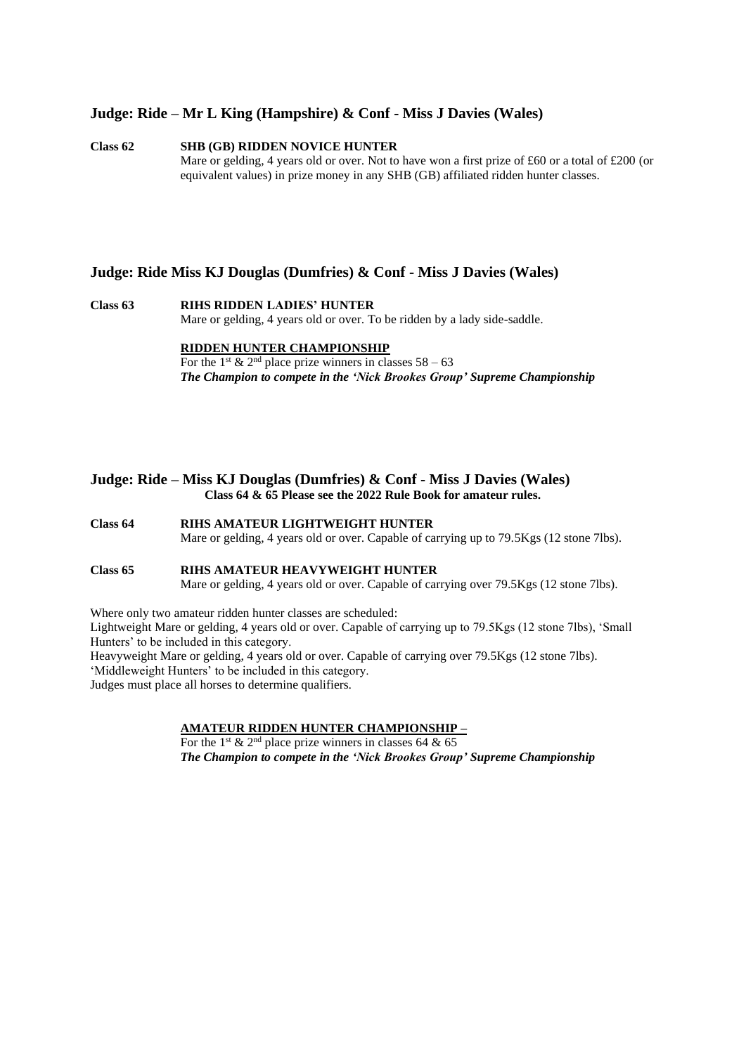#### **Judge: Ride – Mr L King (Hampshire) & Conf - Miss J Davies (Wales)**

#### **Class 62 SHB (GB) RIDDEN NOVICE HUNTER** Mare or gelding, 4 years old or over. Not to have won a first prize of £60 or a total of £200 (or equivalent values) in prize money in any SHB (GB) affiliated ridden hunter classes.

#### **Judge: Ride Miss KJ Douglas (Dumfries) & Conf - Miss J Davies (Wales)**

# **Class 63 RIHS RIDDEN LADIES' HUNTER** Mare or gelding, 4 years old or over. To be ridden by a lady side-saddle.

#### **RIDDEN HUNTER CHAMPIONSHIP**

For the 1<sup>st</sup> & 2<sup>nd</sup> place prize winners in classes  $58 - 63$ *The Champion to compete in the 'Nick Brookes Group' Supreme Championship*

#### **Judge: Ride – Miss KJ Douglas (Dumfries) & Conf - Miss J Davies (Wales) Class 64 & 65 Please see the 2022 Rule Book for amateur rules.**

- **Class 64 RIHS AMATEUR LIGHTWEIGHT HUNTER** Mare or gelding, 4 years old or over. Capable of carrying up to 79.5Kgs (12 stone 7lbs).
- **Class 65 RIHS AMATEUR HEAVYWEIGHT HUNTER** Mare or gelding, 4 years old or over. Capable of carrying over 79.5Kgs (12 stone 7lbs).

Where only two amateur ridden hunter classes are scheduled:

Lightweight Mare or gelding, 4 years old or over. Capable of carrying up to 79.5Kgs (12 stone 7lbs), 'Small Hunters' to be included in this category.

Heavyweight Mare or gelding, 4 years old or over. Capable of carrying over 79.5Kgs (12 stone 7lbs). 'Middleweight Hunters' to be included in this category. Judges must place all horses to determine qualifiers.

# **AMATEUR RIDDEN HUNTER CHAMPIONSHIP –**

For the 1<sup>st</sup> & 2<sup>nd</sup> place prize winners in classes 64 & 65 *The Champion to compete in the 'Nick Brookes Group' Supreme Championship*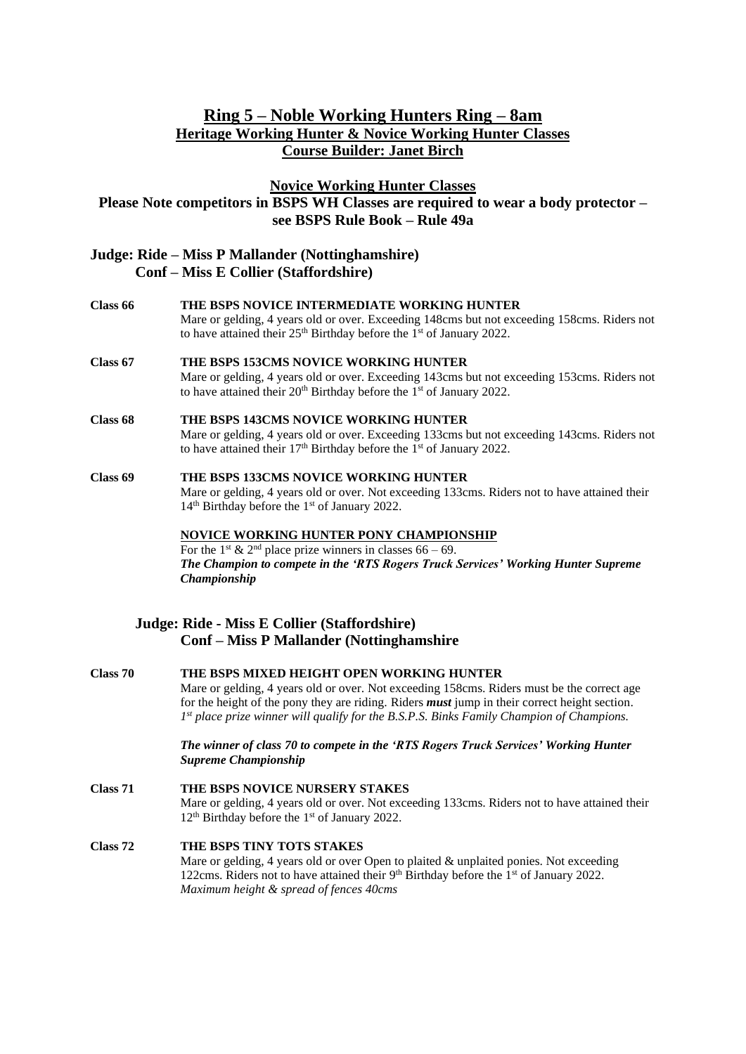# **Ring 5 – Noble Working Hunters Ring – 8am Heritage Working Hunter & Novice Working Hunter Classes Course Builder: Janet Birch**

**Novice Working Hunter Classes**

# **Please Note competitors in BSPS WH Classes are required to wear a body protector – see BSPS Rule Book – Rule 49a**

### **Judge: Ride – Miss P Mallander (Nottinghamshire) Conf – Miss E Collier (Staffordshire)**

- **Class 66 THE BSPS NOVICE INTERMEDIATE WORKING HUNTER** Mare or gelding, 4 years old or over. Exceeding 148cms but not exceeding 158cms. Riders not to have attained their  $25<sup>th</sup>$  Birthday before the 1<sup>st</sup> of January 2022. **Class 67 THE BSPS 153CMS NOVICE WORKING HUNTER** Mare or gelding, 4 years old or over. Exceeding 143cms but not exceeding 153cms. Riders not to have attained their  $20<sup>th</sup>$  Birthday before the  $1<sup>st</sup>$  of January 2022. **Class 68 THE BSPS 143CMS NOVICE WORKING HUNTER**
	- Mare or gelding, 4 years old or over. Exceeding 133cms but not exceeding 143cms. Riders not to have attained their  $17<sup>th</sup>$  Birthday before the  $1<sup>st</sup>$  of January 2022.
- **Class 69 THE BSPS 133CMS NOVICE WORKING HUNTER** Mare or gelding, 4 years old or over. Not exceeding 133cms. Riders not to have attained their 14<sup>th</sup> Birthday before the 1<sup>st</sup> of January 2022.

**NOVICE WORKING HUNTER PONY CHAMPIONSHIP**  For the 1<sup>st</sup> & 2<sup>nd</sup> place prize winners in classes  $66 - 69$ . *The Champion to compete in the 'RTS Rogers Truck Services' Working Hunter Supreme Championship*

# **Judge: Ride - Miss E Collier (Staffordshire) Conf – Miss P Mallander (Nottinghamshire**

- **Class 70 THE BSPS MIXED HEIGHT OPEN WORKING HUNTER** Mare or gelding, 4 years old or over. Not exceeding 158cms. Riders must be the correct age for the height of the pony they are riding. Riders *must* jump in their correct height section. *1 st place prize winner will qualify for the B.S.P.S. Binks Family Champion of Champions. The winner of class 70 to compete in the 'RTS Rogers Truck Services' Working Hunter Supreme Championship* **Class 71 THE BSPS NOVICE NURSERY STAKES** Mare or gelding, 4 years old or over. Not exceeding 133cms. Riders not to have attained their 12<sup>th</sup> Birthday before the 1<sup>st</sup> of January 2022. **Class 72 THE BSPS TINY TOTS STAKES** Mare or gelding, 4 years old or over Open to plaited & unplaited ponies. Not exceeding
	- 122cms. Riders not to have attained their  $9<sup>th</sup>$  Birthday before the  $1<sup>st</sup>$  of January 2022. *Maximum height & spread of fences 40cms*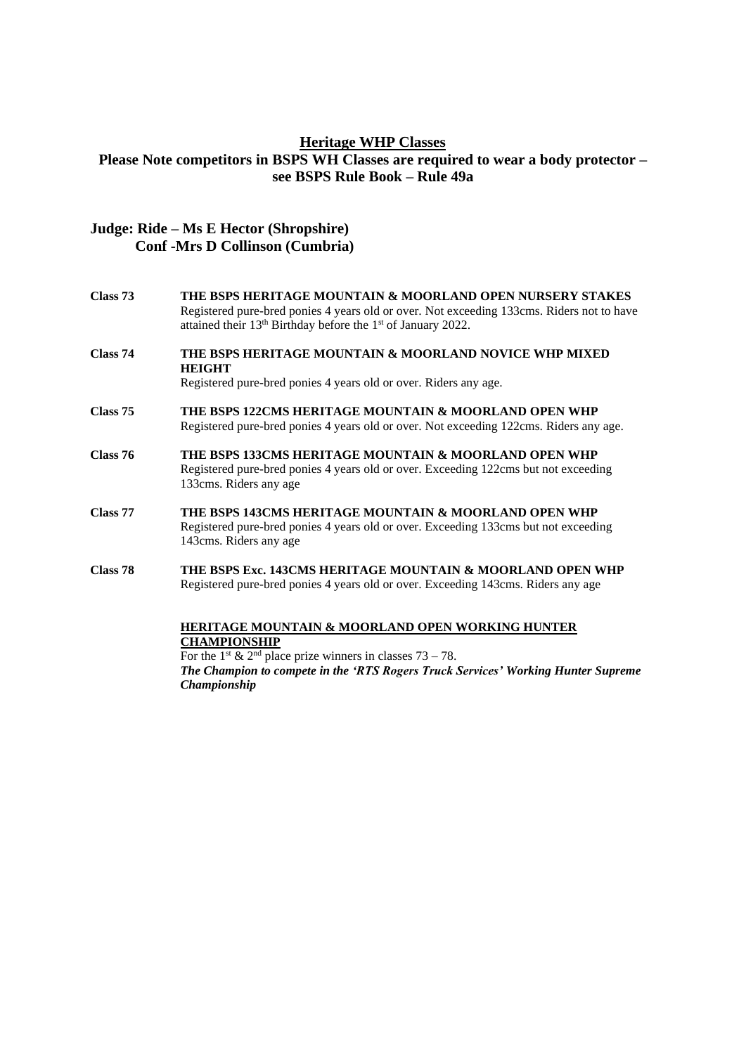# **Heritage WHP Classes Please Note competitors in BSPS WH Classes are required to wear a body protector – see BSPS Rule Book – Rule 49a**

# **Judge: Ride – Ms E Hector (Shropshire) Conf -Mrs D Collinson (Cumbria)**

- **Class 73 THE BSPS HERITAGE MOUNTAIN & MOORLAND OPEN NURSERY STAKES** Registered pure-bred ponies 4 years old or over. Not exceeding 133cms. Riders not to have attained their 13<sup>th</sup> Birthday before the 1<sup>st</sup> of January 2022.
- **Class 74 THE BSPS HERITAGE MOUNTAIN & MOORLAND NOVICE WHP MIXED HEIGHT**

Registered pure-bred ponies 4 years old or over. Riders any age.

- **Class 75 THE BSPS 122CMS HERITAGE MOUNTAIN & MOORLAND OPEN WHP** Registered pure-bred ponies 4 years old or over. Not exceeding 122cms. Riders any age.
- **Class 76 THE BSPS 133CMS HERITAGE MOUNTAIN & MOORLAND OPEN WHP** Registered pure-bred ponies 4 years old or over. Exceeding 122cms but not exceeding 133cms. Riders any age
- **Class 77 THE BSPS 143CMS HERITAGE MOUNTAIN & MOORLAND OPEN WHP** Registered pure-bred ponies 4 years old or over. Exceeding 133cms but not exceeding 143cms. Riders any age
- **Class 78 THE BSPS Exc. 143CMS HERITAGE MOUNTAIN & MOORLAND OPEN WHP** Registered pure-bred ponies 4 years old or over. Exceeding 143cms. Riders any age

#### **HERITAGE MOUNTAIN & MOORLAND OPEN WORKING HUNTER CHAMPIONSHIP**

For the 1<sup>st</sup> & 2<sup>nd</sup> place prize winners in classes  $73 - 78$ . *The Champion to compete in the 'RTS Rogers Truck Services' Working Hunter Supreme Championship*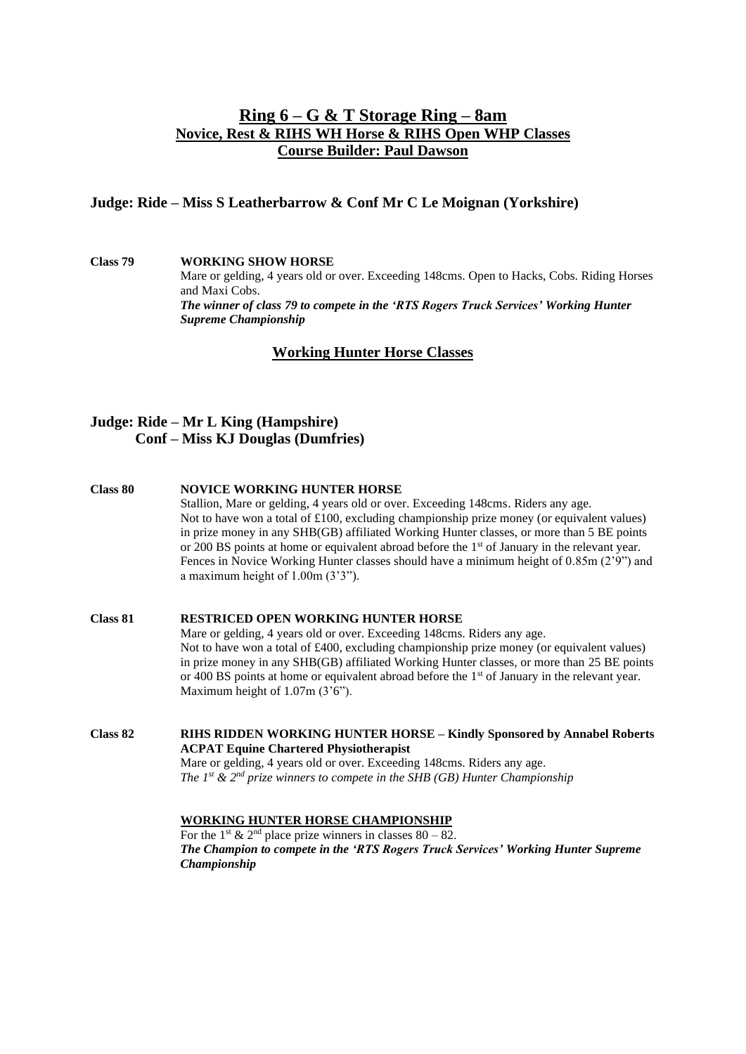# **Ring 6 – G & T Storage Ring – 8am Novice, Rest & RIHS WH Horse & RIHS Open WHP Classes Course Builder: Paul Dawson**

## **Judge: Ride – Miss S Leatherbarrow & Conf Mr C Le Moignan (Yorkshire)**

**Class 79 WORKING SHOW HORSE** Mare or gelding, 4 years old or over. Exceeding 148cms. Open to Hacks, Cobs. Riding Horses and Maxi Cobs. *The winner of class 79 to compete in the 'RTS Rogers Truck Services' Working Hunter Supreme Championship*

# **Working Hunter Horse Classes**

# **Judge: Ride – Mr L King (Hampshire) Conf – Miss KJ Douglas (Dumfries)**

- **Class 80 NOVICE WORKING HUNTER HORSE** Stallion, Mare or gelding, 4 years old or over. Exceeding 148cms. Riders any age. Not to have won a total of £100, excluding championship prize money (or equivalent values) in prize money in any SHB(GB) affiliated Working Hunter classes, or more than 5 BE points or 200 BS points at home or equivalent abroad before the 1<sup>st</sup> of January in the relevant year. Fences in Novice Working Hunter classes should have a minimum height of 0.85m (2'9") and a maximum height of 1.00m (3'3").
- **Class 81 RESTRICED OPEN WORKING HUNTER HORSE** Mare or gelding, 4 years old or over. Exceeding 148cms. Riders any age. Not to have won a total of £400, excluding championship prize money (or equivalent values) in prize money in any SHB(GB) affiliated Working Hunter classes, or more than 25 BE points or 400 BS points at home or equivalent abroad before the 1st of January in the relevant year. Maximum height of 1.07m (3'6").

**Class 82 RIHS RIDDEN WORKING HUNTER HORSE – Kindly Sponsored by Annabel Roberts ACPAT Equine Chartered Physiotherapist** Mare or gelding, 4 years old or over. Exceeding 148cms. Riders any age. *The 1st & 2nd prize winners to compete in the SHB (GB) Hunter Championship*

## **WORKING HUNTER HORSE CHAMPIONSHIP**

For the 1<sup>st</sup> & 2<sup>nd</sup> place prize winners in classes 80 – 82. *The Champion to compete in the 'RTS Rogers Truck Services' Working Hunter Supreme Championship*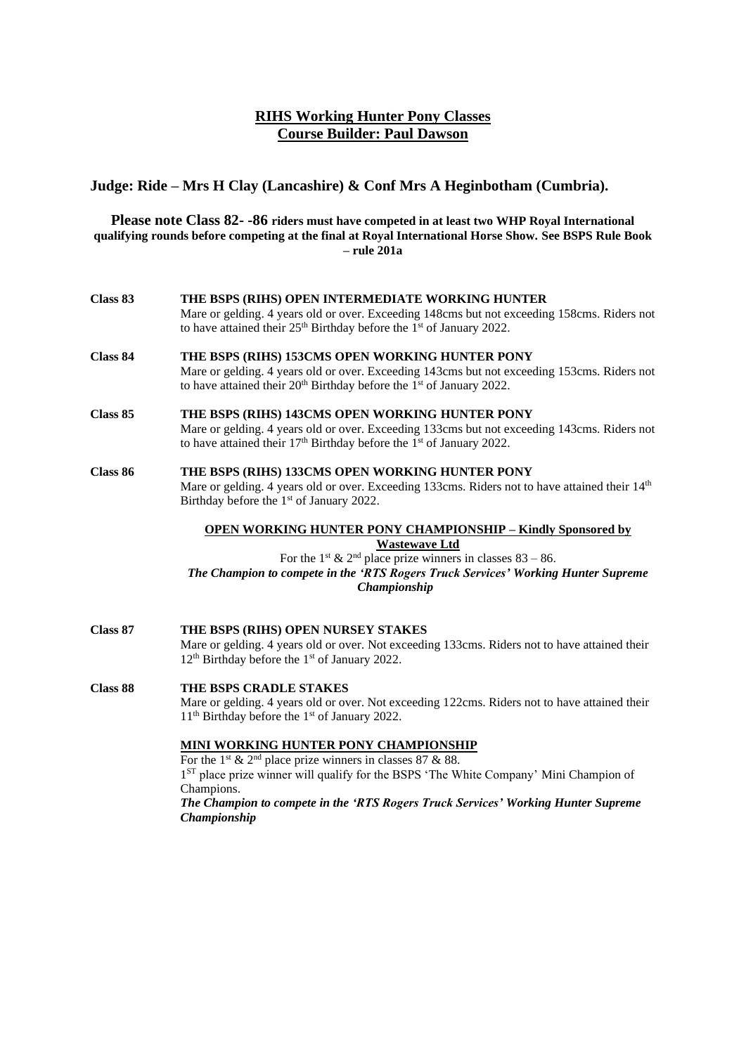# **RIHS Working Hunter Pony Classes Course Builder: Paul Dawson**

# **Judge: Ride – Mrs H Clay (Lancashire) & Conf Mrs A Heginbotham (Cumbria).**

### **Please note Class 82- -86 riders must have competed in at least two WHP Royal International qualifying rounds before competing at the final at Royal International Horse Show. See BSPS Rule Book – rule 201a**

| Class 83 | THE BSPS (RIHS) OPEN INTERMEDIATE WORKING HUNTER<br>Mare or gelding. 4 years old or over. Exceeding 148cms but not exceeding 158cms. Riders not<br>to have attained their 25 <sup>th</sup> Birthday before the 1 <sup>st</sup> of January 2022.                                                                                                                                                                                                                                                                                                               |  |
|----------|---------------------------------------------------------------------------------------------------------------------------------------------------------------------------------------------------------------------------------------------------------------------------------------------------------------------------------------------------------------------------------------------------------------------------------------------------------------------------------------------------------------------------------------------------------------|--|
| Class 84 | THE BSPS (RIHS) 153CMS OPEN WORKING HUNTER PONY<br>Mare or gelding. 4 years old or over. Exceeding 143cms but not exceeding 153cms. Riders not<br>to have attained their $20th$ Birthday before the 1 <sup>st</sup> of January 2022.                                                                                                                                                                                                                                                                                                                          |  |
| Class 85 | THE BSPS (RIHS) 143CMS OPEN WORKING HUNTER PONY<br>Mare or gelding. 4 years old or over. Exceeding 133cms but not exceeding 143cms. Riders not<br>to have attained their $17th$ Birthday before the $1st$ of January 2022.                                                                                                                                                                                                                                                                                                                                    |  |
| Class 86 | THE BSPS (RIHS) 133CMS OPEN WORKING HUNTER PONY<br>Mare or gelding. 4 years old or over. Exceeding 133cms. Riders not to have attained their 14th<br>Birthday before the 1 <sup>st</sup> of January 2022.                                                                                                                                                                                                                                                                                                                                                     |  |
|          | <b>OPEN WORKING HUNTER PONY CHAMPIONSHIP - Kindly Sponsored by</b><br><b>Wastewave Ltd</b><br>For the 1 <sup>st</sup> & 2 <sup>nd</sup> place prize winners in classes 83 – 86.<br>The Champion to compete in the 'RTS Rogers Truck Services' Working Hunter Supreme<br>Championship                                                                                                                                                                                                                                                                          |  |
| Class 87 | THE BSPS (RIHS) OPEN NURSEY STAKES<br>Mare or gelding. 4 years old or over. Not exceeding 133cms. Riders not to have attained their<br>12 <sup>th</sup> Birthday before the 1 <sup>st</sup> of January 2022.                                                                                                                                                                                                                                                                                                                                                  |  |
| Class 88 | THE BSPS CRADLE STAKES<br>Mare or gelding. 4 years old or over. Not exceeding 122cms. Riders not to have attained their<br>11 <sup>th</sup> Birthday before the 1 <sup>st</sup> of January 2022.<br><b>MINI WORKING HUNTER PONY CHAMPIONSHIP</b><br>For the 1 <sup>st</sup> & 2 <sup>nd</sup> place prize winners in classes 87 & 88.<br>1 <sup>ST</sup> place prize winner will qualify for the BSPS 'The White Company' Mini Champion of<br>Champions.<br>The Champion to compete in the 'RTS Rogers Truck Services' Working Hunter Supreme<br>Championship |  |
|          |                                                                                                                                                                                                                                                                                                                                                                                                                                                                                                                                                               |  |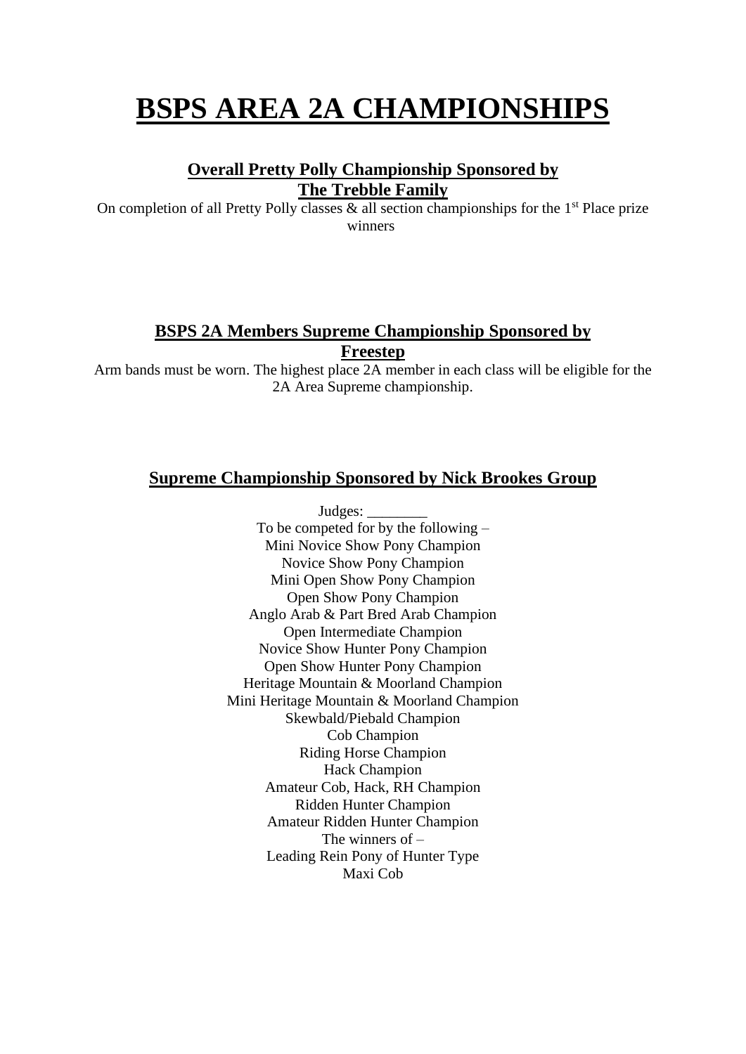# **BSPS AREA 2A CHAMPIONSHIPS**

# **Overall Pretty Polly Championship Sponsored by The Trebble Family**

On completion of all Pretty Polly classes  $\&$  all section championships for the 1<sup>st</sup> Place prize winners

# **BSPS 2A Members Supreme Championship Sponsored by Freestep**

Arm bands must be worn. The highest place 2A member in each class will be eligible for the 2A Area Supreme championship.

# **Supreme Championship Sponsored by Nick Brookes Group**

Judges: \_ To be competed for by the following – Mini Novice Show Pony Champion Novice Show Pony Champion Mini Open Show Pony Champion Open Show Pony Champion Anglo Arab & Part Bred Arab Champion Open Intermediate Champion Novice Show Hunter Pony Champion Open Show Hunter Pony Champion Heritage Mountain & Moorland Champion Mini Heritage Mountain & Moorland Champion Skewbald/Piebald Champion Cob Champion Riding Horse Champion Hack Champion Amateur Cob, Hack, RH Champion Ridden Hunter Champion Amateur Ridden Hunter Champion The winners of – Leading Rein Pony of Hunter Type Maxi Cob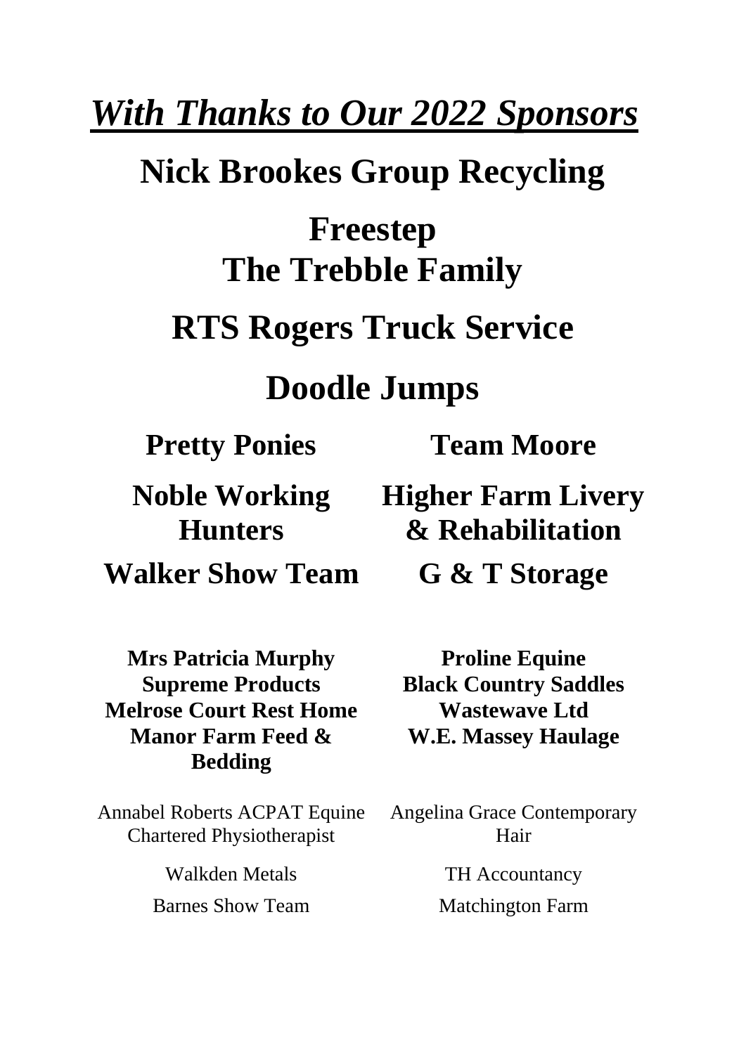# *With Thanks to Our 2022 Sponsors*

# **Nick Brookes Group Recycling**

# **Freestep The Trebble Family**

# **RTS Rogers Truck Service**

# **Doodle Jumps**

**Pretty Ponies Team Moore** 

**Noble Working Hunters Walker Show Team G & T Storage**

**Mrs Patricia Murphy Proline Equine Melrose Court Rest Home Wastewave Ltd Manor Farm Feed & Bedding**

Annabel Roberts ACPAT Equine Chartered Physiotherapist

> Walkden Metals TH Accountancy Barnes Show Team Matchington Farm

**Higher Farm Livery & Rehabilitation**

**Supreme Products Black Country Saddles W.E. Massey Haulage**

> Angelina Grace Contemporary Hair